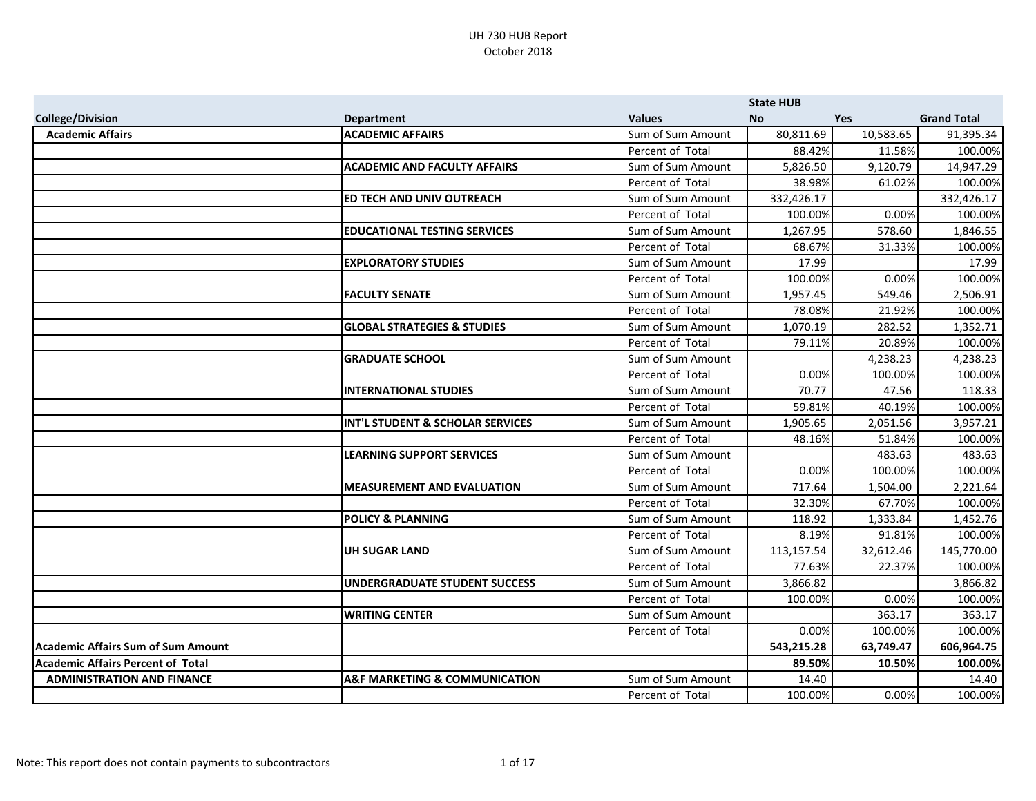|                                           |                                             |                   | <b>State HUB</b> |            |                    |
|-------------------------------------------|---------------------------------------------|-------------------|------------------|------------|--------------------|
| <b>College/Division</b>                   | <b>Department</b>                           | <b>Values</b>     | <b>No</b>        | <b>Yes</b> | <b>Grand Total</b> |
| <b>Academic Affairs</b>                   | <b>ACADEMIC AFFAIRS</b>                     | Sum of Sum Amount | 80,811.69        | 10,583.65  | 91,395.34          |
|                                           |                                             | Percent of Total  | 88.42%           | 11.58%     | 100.00%            |
|                                           | <b>ACADEMIC AND FACULTY AFFAIRS</b>         | Sum of Sum Amount | 5,826.50         | 9,120.79   | 14,947.29          |
|                                           |                                             | Percent of Total  | 38.98%           | 61.02%     | 100.00%            |
|                                           | ED TECH AND UNIV OUTREACH                   | Sum of Sum Amount | 332,426.17       |            | 332,426.17         |
|                                           |                                             | Percent of Total  | 100.00%          | 0.00%      | 100.00%            |
|                                           | <b>EDUCATIONAL TESTING SERVICES</b>         | Sum of Sum Amount | 1,267.95         | 578.60     | 1,846.55           |
|                                           |                                             | Percent of Total  | 68.67%           | 31.33%     | 100.00%            |
|                                           | <b>EXPLORATORY STUDIES</b>                  | Sum of Sum Amount | 17.99            |            | 17.99              |
|                                           |                                             | Percent of Total  | 100.00%          | 0.00%      | 100.00%            |
|                                           | <b>FACULTY SENATE</b>                       | Sum of Sum Amount | 1,957.45         | 549.46     | 2,506.91           |
|                                           |                                             | Percent of Total  | 78.08%           | 21.92%     | 100.00%            |
|                                           | <b>GLOBAL STRATEGIES &amp; STUDIES</b>      | Sum of Sum Amount | 1,070.19         | 282.52     | 1,352.71           |
|                                           |                                             | Percent of Total  | 79.11%           | 20.89%     | 100.00%            |
|                                           | <b>GRADUATE SCHOOL</b>                      | Sum of Sum Amount |                  | 4,238.23   | 4,238.23           |
|                                           |                                             | Percent of Total  | 0.00%            | 100.00%    | 100.00%            |
|                                           | <b>INTERNATIONAL STUDIES</b>                | Sum of Sum Amount | 70.77            | 47.56      | 118.33             |
|                                           |                                             | Percent of Total  | 59.81%           | 40.19%     | 100.00%            |
|                                           | <b>INT'L STUDENT &amp; SCHOLAR SERVICES</b> | Sum of Sum Amount | 1,905.65         | 2,051.56   | 3,957.21           |
|                                           |                                             | Percent of Total  | 48.16%           | 51.84%     | 100.00%            |
|                                           | <b>LEARNING SUPPORT SERVICES</b>            | Sum of Sum Amount |                  | 483.63     | 483.63             |
|                                           |                                             | Percent of Total  | 0.00%            | 100.00%    | 100.00%            |
|                                           | <b>MEASUREMENT AND EVALUATION</b>           | Sum of Sum Amount | 717.64           | 1,504.00   | 2,221.64           |
|                                           |                                             | Percent of Total  | 32.30%           | 67.70%     | 100.00%            |
|                                           | <b>POLICY &amp; PLANNING</b>                | Sum of Sum Amount | 118.92           | 1,333.84   | 1,452.76           |
|                                           |                                             | Percent of Total  | 8.19%            | 91.81%     | 100.00%            |
|                                           | <b>UH SUGAR LAND</b>                        | Sum of Sum Amount | 113,157.54       | 32,612.46  | 145,770.00         |
|                                           |                                             | Percent of Total  | 77.63%           | 22.37%     | 100.00%            |
|                                           | <b>UNDERGRADUATE STUDENT SUCCESS</b>        | Sum of Sum Amount | 3,866.82         |            | 3,866.82           |
|                                           |                                             | Percent of Total  | 100.00%          | 0.00%      | 100.00%            |
|                                           | <b>WRITING CENTER</b>                       | Sum of Sum Amount |                  | 363.17     | 363.17             |
|                                           |                                             | Percent of Total  | 0.00%            | 100.00%    | 100.00%            |
| <b>Academic Affairs Sum of Sum Amount</b> |                                             |                   | 543,215.28       | 63,749.47  | 606,964.75         |
| <b>Academic Affairs Percent of Total</b>  |                                             |                   | 89.50%           | 10.50%     | 100.00%            |
| <b>ADMINISTRATION AND FINANCE</b>         | A&F MARKETING & COMMUNICATION               | Sum of Sum Amount | 14.40            |            | 14.40              |
|                                           |                                             | Percent of Total  | 100.00%          | 0.00%      | 100.00%            |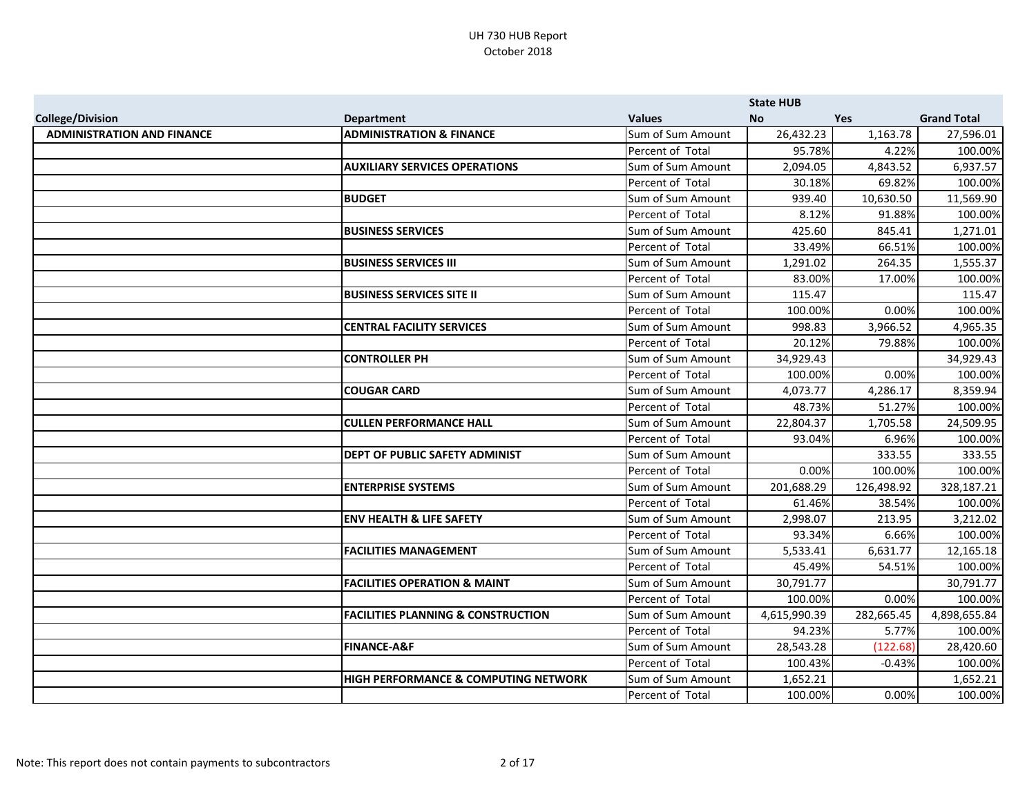|                                   |                                                 |                   | <b>State HUB</b> |            |                    |
|-----------------------------------|-------------------------------------------------|-------------------|------------------|------------|--------------------|
| <b>College/Division</b>           | <b>Department</b>                               | <b>Values</b>     | <b>No</b>        | <b>Yes</b> | <b>Grand Total</b> |
| <b>ADMINISTRATION AND FINANCE</b> | <b>ADMINISTRATION &amp; FINANCE</b>             | Sum of Sum Amount | 26,432.23        | 1,163.78   | 27,596.01          |
|                                   |                                                 | Percent of Total  | 95.78%           | 4.22%      | 100.00%            |
|                                   | <b>AUXILIARY SERVICES OPERATIONS</b>            | Sum of Sum Amount | 2,094.05         | 4,843.52   | 6,937.57           |
|                                   |                                                 | Percent of Total  | 30.18%           | 69.82%     | 100.00%            |
|                                   | <b>BUDGET</b>                                   | Sum of Sum Amount | 939.40           | 10,630.50  | 11,569.90          |
|                                   |                                                 | Percent of Total  | 8.12%            | 91.88%     | 100.00%            |
|                                   | <b>BUSINESS SERVICES</b>                        | Sum of Sum Amount | 425.60           | 845.41     | 1,271.01           |
|                                   |                                                 | Percent of Total  | 33.49%           | 66.51%     | 100.00%            |
|                                   | <b>BUSINESS SERVICES III</b>                    | Sum of Sum Amount | 1,291.02         | 264.35     | 1,555.37           |
|                                   |                                                 | Percent of Total  | 83.00%           | 17.00%     | 100.00%            |
|                                   | <b>BUSINESS SERVICES SITE II</b>                | Sum of Sum Amount | 115.47           |            | 115.47             |
|                                   |                                                 | Percent of Total  | 100.00%          | 0.00%      | 100.00%            |
|                                   | <b>CENTRAL FACILITY SERVICES</b>                | Sum of Sum Amount | 998.83           | 3,966.52   | 4,965.35           |
|                                   |                                                 | Percent of Total  | 20.12%           | 79.88%     | 100.00%            |
|                                   | <b>CONTROLLER PH</b>                            | Sum of Sum Amount | 34,929.43        |            | 34,929.43          |
|                                   |                                                 | Percent of Total  | 100.00%          | 0.00%      | 100.00%            |
|                                   | <b>COUGAR CARD</b>                              | Sum of Sum Amount | 4,073.77         | 4,286.17   | 8,359.94           |
|                                   |                                                 | Percent of Total  | 48.73%           | 51.27%     | 100.00%            |
|                                   | <b>CULLEN PERFORMANCE HALL</b>                  | Sum of Sum Amount | 22,804.37        | 1,705.58   | 24,509.95          |
|                                   |                                                 | Percent of Total  | 93.04%           | 6.96%      | 100.00%            |
|                                   | <b>DEPT OF PUBLIC SAFETY ADMINIST</b>           | Sum of Sum Amount |                  | 333.55     | 333.55             |
|                                   |                                                 | Percent of Total  | 0.00%            | 100.00%    | 100.00%            |
|                                   | <b>ENTERPRISE SYSTEMS</b>                       | Sum of Sum Amount | 201,688.29       | 126,498.92 | 328,187.21         |
|                                   |                                                 | Percent of Total  | 61.46%           | 38.54%     | 100.00%            |
|                                   | <b>ENV HEALTH &amp; LIFE SAFETY</b>             | Sum of Sum Amount | 2,998.07         | 213.95     | 3,212.02           |
|                                   |                                                 | Percent of Total  | 93.34%           | 6.66%      | 100.00%            |
|                                   | <b>FACILITIES MANAGEMENT</b>                    | Sum of Sum Amount | 5,533.41         | 6,631.77   | 12,165.18          |
|                                   |                                                 | Percent of Total  | 45.49%           | 54.51%     | 100.00%            |
|                                   | <b>FACILITIES OPERATION &amp; MAINT</b>         | Sum of Sum Amount | 30,791.77        |            | 30,791.77          |
|                                   |                                                 | Percent of Total  | 100.00%          | 0.00%      | 100.00%            |
|                                   | <b>FACILITIES PLANNING &amp; CONSTRUCTION</b>   | Sum of Sum Amount | 4,615,990.39     | 282,665.45 | 4,898,655.84       |
|                                   |                                                 | Percent of Total  | 94.23%           | 5.77%      | 100.00%            |
|                                   | <b>FINANCE-A&amp;F</b>                          | Sum of Sum Amount | 28,543.28        | (122.68)   | 28,420.60          |
|                                   |                                                 | Percent of Total  | 100.43%          | $-0.43%$   | 100.00%            |
|                                   | <b>HIGH PERFORMANCE &amp; COMPUTING NETWORK</b> | Sum of Sum Amount | 1,652.21         |            | 1,652.21           |
|                                   |                                                 | Percent of Total  | 100.00%          | 0.00%      | 100.00%            |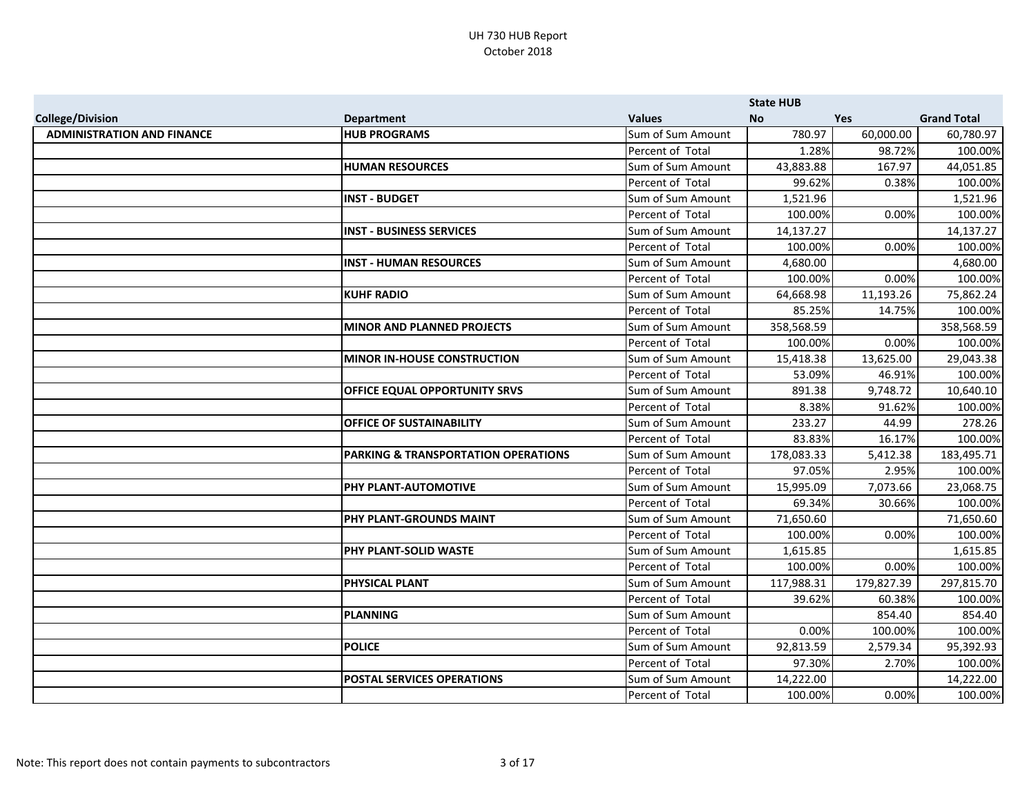|                                   |                                     |                   | <b>State HUB</b> |            |                    |
|-----------------------------------|-------------------------------------|-------------------|------------------|------------|--------------------|
| <b>College/Division</b>           | <b>Department</b>                   | <b>Values</b>     | <b>No</b>        | <b>Yes</b> | <b>Grand Total</b> |
| <b>ADMINISTRATION AND FINANCE</b> | <b>HUB PROGRAMS</b>                 | Sum of Sum Amount | 780.97           | 60,000.00  | 60,780.97          |
|                                   |                                     | Percent of Total  | 1.28%            | 98.72%     | 100.00%            |
|                                   | <b>HUMAN RESOURCES</b>              | Sum of Sum Amount | 43,883.88        | 167.97     | 44,051.85          |
|                                   |                                     | Percent of Total  | 99.62%           | 0.38%      | 100.00%            |
|                                   | <b>INST - BUDGET</b>                | Sum of Sum Amount | 1,521.96         |            | 1,521.96           |
|                                   |                                     | Percent of Total  | 100.00%          | 0.00%      | 100.00%            |
|                                   | <b>INST - BUSINESS SERVICES</b>     | Sum of Sum Amount | 14,137.27        |            | 14,137.27          |
|                                   |                                     | Percent of Total  | 100.00%          | 0.00%      | 100.00%            |
|                                   | <b>INST - HUMAN RESOURCES</b>       | Sum of Sum Amount | 4,680.00         |            | 4,680.00           |
|                                   |                                     | Percent of Total  | 100.00%          | 0.00%      | 100.00%            |
|                                   | <b>KUHF RADIO</b>                   | Sum of Sum Amount | 64,668.98        | 11,193.26  | 75,862.24          |
|                                   |                                     | Percent of Total  | 85.25%           | 14.75%     | 100.00%            |
|                                   | <b>MINOR AND PLANNED PROJECTS</b>   | Sum of Sum Amount | 358,568.59       |            | 358,568.59         |
|                                   |                                     | Percent of Total  | 100.00%          | 0.00%      | 100.00%            |
|                                   | <b>MINOR IN-HOUSE CONSTRUCTION</b>  | Sum of Sum Amount | 15,418.38        | 13,625.00  | 29,043.38          |
|                                   |                                     | Percent of Total  | 53.09%           | 46.91%     | 100.00%            |
|                                   | OFFICE EQUAL OPPORTUNITY SRVS       | Sum of Sum Amount | 891.38           | 9,748.72   | 10,640.10          |
|                                   |                                     | Percent of Total  | 8.38%            | 91.62%     | 100.00%            |
|                                   | <b>OFFICE OF SUSTAINABILITY</b>     | Sum of Sum Amount | 233.27           | 44.99      | 278.26             |
|                                   |                                     | Percent of Total  | 83.83%           | 16.17%     | 100.00%            |
|                                   | PARKING & TRANSPORTATION OPERATIONS | Sum of Sum Amount | 178,083.33       | 5,412.38   | 183,495.71         |
|                                   |                                     | Percent of Total  | 97.05%           | 2.95%      | 100.00%            |
|                                   | PHY PLANT-AUTOMOTIVE                | Sum of Sum Amount | 15,995.09        | 7,073.66   | 23,068.75          |
|                                   |                                     | Percent of Total  | 69.34%           | 30.66%     | 100.00%            |
|                                   | PHY PLANT-GROUNDS MAINT             | Sum of Sum Amount | 71,650.60        |            | 71,650.60          |
|                                   |                                     | Percent of Total  | 100.00%          | 0.00%      | 100.00%            |
|                                   | PHY PLANT-SOLID WASTE               | Sum of Sum Amount | 1,615.85         |            | 1,615.85           |
|                                   |                                     | Percent of Total  | 100.00%          | 0.00%      | 100.00%            |
|                                   | <b>PHYSICAL PLANT</b>               | Sum of Sum Amount | 117,988.31       | 179,827.39 | 297,815.70         |
|                                   |                                     | Percent of Total  | 39.62%           | 60.38%     | 100.00%            |
|                                   | <b>PLANNING</b>                     | Sum of Sum Amount |                  | 854.40     | 854.40             |
|                                   |                                     | Percent of Total  | 0.00%            | 100.00%    | 100.00%            |
|                                   | <b>POLICE</b>                       | Sum of Sum Amount | 92,813.59        | 2,579.34   | 95,392.93          |
|                                   |                                     | Percent of Total  | 97.30%           | 2.70%      | 100.00%            |
|                                   | <b>POSTAL SERVICES OPERATIONS</b>   | Sum of Sum Amount | 14,222.00        |            | 14,222.00          |
|                                   |                                     | Percent of Total  | 100.00%          | 0.00%      | 100.00%            |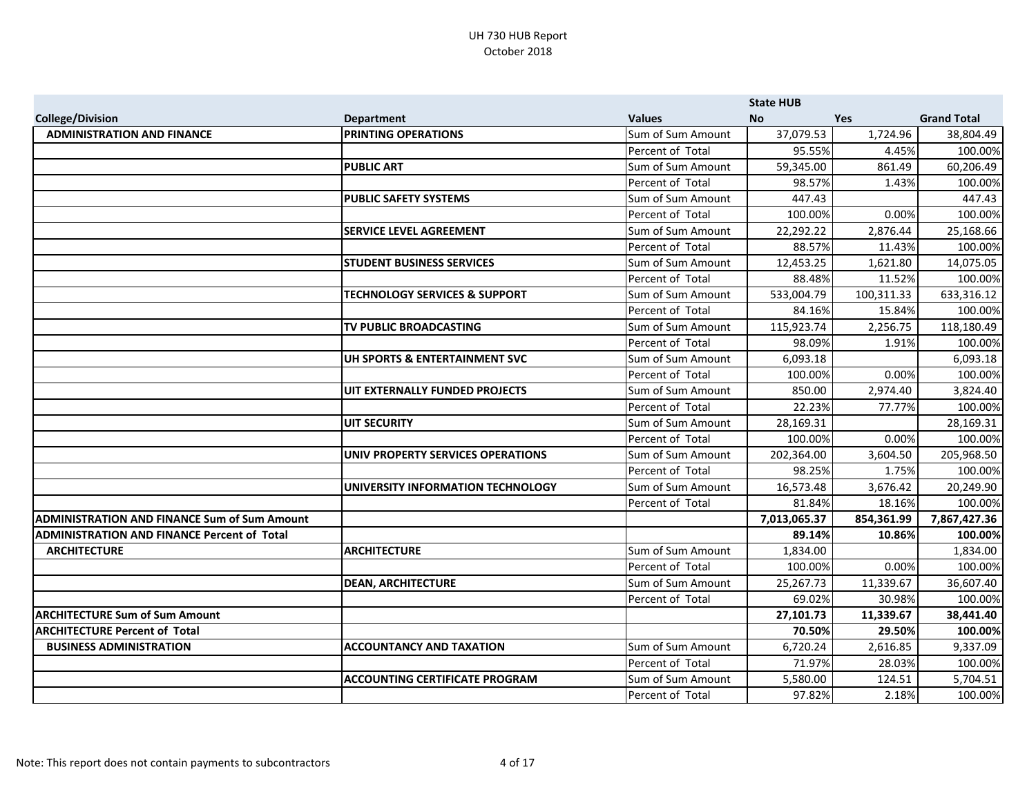|                                                     |                                          |                   | <b>State HUB</b> |            |                    |
|-----------------------------------------------------|------------------------------------------|-------------------|------------------|------------|--------------------|
| <b>College/Division</b>                             | <b>Department</b>                        | <b>Values</b>     | <b>No</b>        | <b>Yes</b> | <b>Grand Total</b> |
| <b>ADMINISTRATION AND FINANCE</b>                   | <b>PRINTING OPERATIONS</b>               | Sum of Sum Amount | 37,079.53        | 1,724.96   | 38,804.49          |
|                                                     |                                          | Percent of Total  | 95.55%           | 4.45%      | 100.00%            |
|                                                     | <b>PUBLIC ART</b>                        | Sum of Sum Amount | 59,345.00        | 861.49     | 60,206.49          |
|                                                     |                                          | Percent of Total  | 98.57%           | 1.43%      | 100.00%            |
|                                                     | <b>PUBLIC SAFETY SYSTEMS</b>             | Sum of Sum Amount | 447.43           |            | 447.43             |
|                                                     |                                          | Percent of Total  | 100.00%          | 0.00%      | 100.00%            |
|                                                     | <b>SERVICE LEVEL AGREEMENT</b>           | Sum of Sum Amount | 22,292.22        | 2,876.44   | 25,168.66          |
|                                                     |                                          | Percent of Total  | 88.57%           | 11.43%     | 100.00%            |
|                                                     | <b>STUDENT BUSINESS SERVICES</b>         | Sum of Sum Amount | 12,453.25        | 1,621.80   | 14,075.05          |
|                                                     |                                          | Percent of Total  | 88.48%           | 11.52%     | 100.00%            |
|                                                     | <b>TECHNOLOGY SERVICES &amp; SUPPORT</b> | Sum of Sum Amount | 533,004.79       | 100,311.33 | 633,316.12         |
|                                                     |                                          | Percent of Total  | 84.16%           | 15.84%     | 100.00%            |
|                                                     | TV PUBLIC BROADCASTING                   | Sum of Sum Amount | 115,923.74       | 2,256.75   | 118,180.49         |
|                                                     |                                          | Percent of Total  | 98.09%           | 1.91%      | 100.00%            |
|                                                     | UH SPORTS & ENTERTAINMENT SVC            | Sum of Sum Amount | 6,093.18         |            | 6,093.18           |
|                                                     |                                          | Percent of Total  | 100.00%          | 0.00%      | 100.00%            |
|                                                     | UIT EXTERNALLY FUNDED PROJECTS           | Sum of Sum Amount | 850.00           | 2,974.40   | 3,824.40           |
|                                                     |                                          | Percent of Total  | 22.23%           | 77.77%     | 100.00%            |
|                                                     | <b>UIT SECURITY</b>                      | Sum of Sum Amount | 28,169.31        |            | 28,169.31          |
|                                                     |                                          | Percent of Total  | 100.00%          | 0.00%      | 100.00%            |
|                                                     | UNIV PROPERTY SERVICES OPERATIONS        | Sum of Sum Amount | 202,364.00       | 3,604.50   | 205,968.50         |
|                                                     |                                          | Percent of Total  | 98.25%           | 1.75%      | 100.00%            |
|                                                     | UNIVERSITY INFORMATION TECHNOLOGY        | Sum of Sum Amount | 16,573.48        | 3,676.42   | 20,249.90          |
|                                                     |                                          | Percent of Total  | 81.84%           | 18.16%     | 100.00%            |
| <b>ADMINISTRATION AND FINANCE Sum of Sum Amount</b> |                                          |                   | 7,013,065.37     | 854,361.99 | 7,867,427.36       |
| <b>ADMINISTRATION AND FINANCE Percent of Total</b>  |                                          |                   | 89.14%           | 10.86%     | 100.00%            |
| <b>ARCHITECTURE</b>                                 | <b>ARCHITECTURE</b>                      | Sum of Sum Amount | 1,834.00         |            | 1,834.00           |
|                                                     |                                          | Percent of Total  | 100.00%          | 0.00%      | 100.00%            |
|                                                     | <b>DEAN, ARCHITECTURE</b>                | Sum of Sum Amount | 25,267.73        | 11,339.67  | 36,607.40          |
|                                                     |                                          | Percent of Total  | 69.02%           | 30.98%     | 100.00%            |
| <b>ARCHITECTURE Sum of Sum Amount</b>               |                                          |                   | 27,101.73        | 11,339.67  | 38,441.40          |
| <b>ARCHITECTURE Percent of Total</b>                |                                          |                   | 70.50%           | 29.50%     | 100.00%            |
| <b>BUSINESS ADMINISTRATION</b>                      | <b>ACCOUNTANCY AND TAXATION</b>          | Sum of Sum Amount | 6,720.24         | 2,616.85   | 9,337.09           |
|                                                     |                                          | Percent of Total  | 71.97%           | 28.03%     | 100.00%            |
|                                                     | <b>ACCOUNTING CERTIFICATE PROGRAM</b>    | Sum of Sum Amount | 5,580.00         | 124.51     | 5,704.51           |
|                                                     |                                          | Percent of Total  | 97.82%           | 2.18%      | 100.00%            |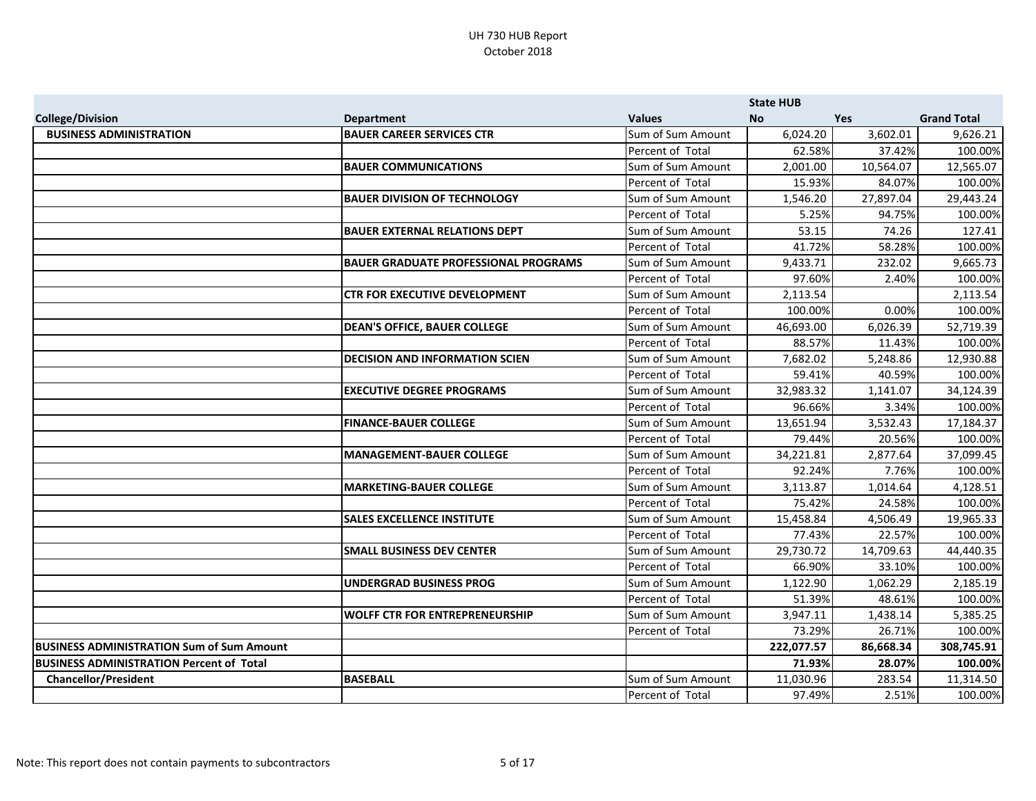|                                                  |                                             |                   | <b>State HUB</b> |            |                    |
|--------------------------------------------------|---------------------------------------------|-------------------|------------------|------------|--------------------|
| <b>College/Division</b>                          | <b>Department</b>                           | <b>Values</b>     | <b>No</b>        | <b>Yes</b> | <b>Grand Total</b> |
| <b>BUSINESS ADMINISTRATION</b>                   | <b>BAUER CAREER SERVICES CTR</b>            | Sum of Sum Amount | 6,024.20         | 3,602.01   | 9,626.21           |
|                                                  |                                             | Percent of Total  | 62.58%           | 37.42%     | 100.00%            |
|                                                  | <b>BAUER COMMUNICATIONS</b>                 | Sum of Sum Amount | 2,001.00         | 10,564.07  | 12,565.07          |
|                                                  |                                             | Percent of Total  | 15.93%           | 84.07%     | 100.00%            |
|                                                  | <b>BAUER DIVISION OF TECHNOLOGY</b>         | Sum of Sum Amount | 1,546.20         | 27,897.04  | 29,443.24          |
|                                                  |                                             | Percent of Total  | 5.25%            | 94.75%     | 100.00%            |
|                                                  | <b>BAUER EXTERNAL RELATIONS DEPT</b>        | Sum of Sum Amount | 53.15            | 74.26      | 127.41             |
|                                                  |                                             | Percent of Total  | 41.72%           | 58.28%     | 100.00%            |
|                                                  | <b>BAUER GRADUATE PROFESSIONAL PROGRAMS</b> | Sum of Sum Amount | 9,433.71         | 232.02     | 9,665.73           |
|                                                  |                                             | Percent of Total  | 97.60%           | 2.40%      | 100.00%            |
|                                                  | <b>CTR FOR EXECUTIVE DEVELOPMENT</b>        | Sum of Sum Amount | 2,113.54         |            | 2,113.54           |
|                                                  |                                             | Percent of Total  | 100.00%          | 0.00%      | 100.00%            |
|                                                  | <b>DEAN'S OFFICE, BAUER COLLEGE</b>         | Sum of Sum Amount | 46,693.00        | 6,026.39   | 52,719.39          |
|                                                  |                                             | Percent of Total  | 88.57%           | 11.43%     | 100.00%            |
|                                                  | <b>DECISION AND INFORMATION SCIEN</b>       | Sum of Sum Amount | 7,682.02         | 5,248.86   | 12,930.88          |
|                                                  |                                             | Percent of Total  | 59.41%           | 40.59%     | 100.00%            |
|                                                  | <b>EXECUTIVE DEGREE PROGRAMS</b>            | Sum of Sum Amount | 32,983.32        | 1,141.07   | 34,124.39          |
|                                                  |                                             | Percent of Total  | 96.66%           | 3.34%      | 100.00%            |
|                                                  | <b>FINANCE-BAUER COLLEGE</b>                | Sum of Sum Amount | 13,651.94        | 3,532.43   | 17,184.37          |
|                                                  |                                             | Percent of Total  | 79.44%           | 20.56%     | 100.00%            |
|                                                  | <b>MANAGEMENT-BAUER COLLEGE</b>             | Sum of Sum Amount | 34,221.81        | 2,877.64   | 37,099.45          |
|                                                  |                                             | Percent of Total  | 92.24%           | 7.76%      | 100.00%            |
|                                                  | <b>MARKETING-BAUER COLLEGE</b>              | Sum of Sum Amount | 3,113.87         | 1,014.64   | 4,128.51           |
|                                                  |                                             | Percent of Total  | 75.42%           | 24.58%     | 100.00%            |
|                                                  | <b>SALES EXCELLENCE INSTITUTE</b>           | Sum of Sum Amount | 15,458.84        | 4,506.49   | 19,965.33          |
|                                                  |                                             | Percent of Total  | 77.43%           | 22.57%     | 100.00%            |
|                                                  | <b>SMALL BUSINESS DEV CENTER</b>            | Sum of Sum Amount | 29,730.72        | 14,709.63  | 44,440.35          |
|                                                  |                                             | Percent of Total  | 66.90%           | 33.10%     | 100.00%            |
|                                                  | <b>UNDERGRAD BUSINESS PROG</b>              | Sum of Sum Amount | 1,122.90         | 1,062.29   | 2,185.19           |
|                                                  |                                             | Percent of Total  | 51.39%           | 48.61%     | 100.00%            |
|                                                  | <b>WOLFF CTR FOR ENTREPRENEURSHIP</b>       | Sum of Sum Amount | 3,947.11         | 1,438.14   | 5,385.25           |
|                                                  |                                             | Percent of Total  | 73.29%           | 26.71%     | 100.00%            |
| <b>BUSINESS ADMINISTRATION Sum of Sum Amount</b> |                                             |                   | 222,077.57       | 86,668.34  | 308,745.91         |
| <b>BUSINESS ADMINISTRATION Percent of Total</b>  |                                             |                   | 71.93%           | 28.07%     | 100.00%            |
| <b>Chancellor/President</b>                      | <b>BASEBALL</b>                             | Sum of Sum Amount | 11,030.96        | 283.54     | 11,314.50          |
|                                                  |                                             | Percent of Total  | 97.49%           | 2.51%      | 100.00%            |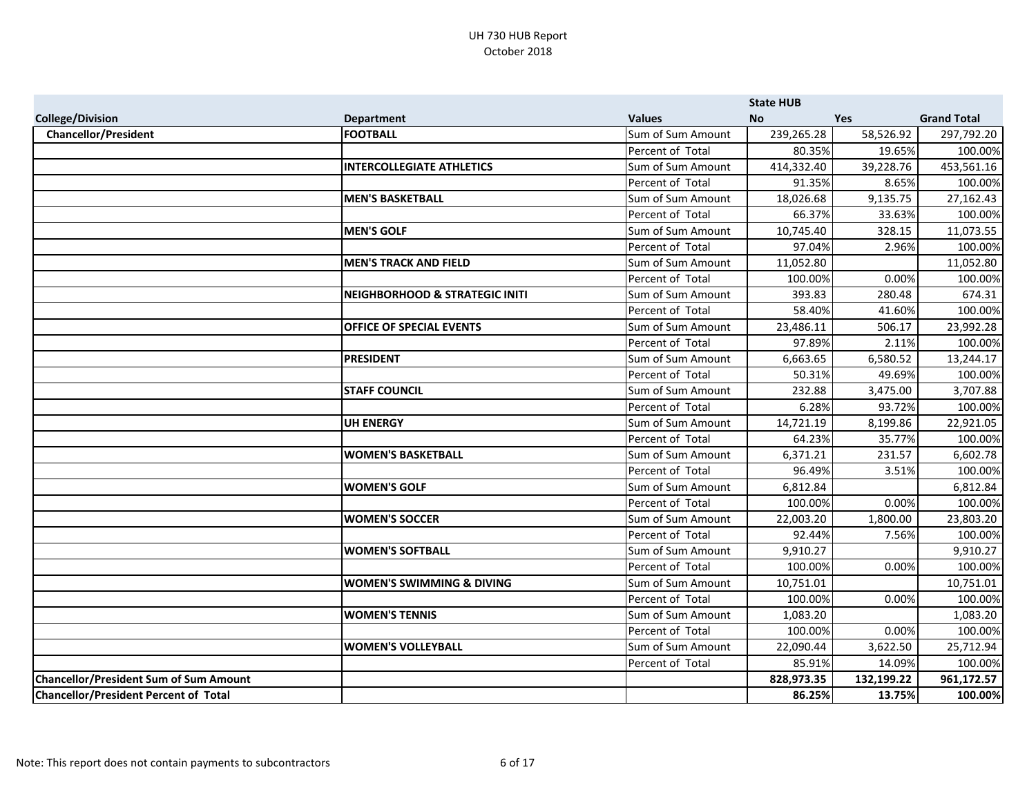|                                               |                                           |                   | <b>State HUB</b> |            |                    |
|-----------------------------------------------|-------------------------------------------|-------------------|------------------|------------|--------------------|
| <b>College/Division</b>                       | <b>Department</b>                         | <b>Values</b>     | <b>No</b>        | <b>Yes</b> | <b>Grand Total</b> |
| <b>Chancellor/President</b>                   | <b>FOOTBALL</b>                           | Sum of Sum Amount | 239,265.28       | 58,526.92  | 297,792.20         |
|                                               |                                           | Percent of Total  | 80.35%           | 19.65%     | 100.00%            |
|                                               | <b>INTERCOLLEGIATE ATHLETICS</b>          | Sum of Sum Amount | 414,332.40       | 39,228.76  | 453,561.16         |
|                                               |                                           | Percent of Total  | 91.35%           | 8.65%      | 100.00%            |
|                                               | <b>MEN'S BASKETBALL</b>                   | Sum of Sum Amount | 18,026.68        | 9,135.75   | 27,162.43          |
|                                               |                                           | Percent of Total  | 66.37%           | 33.63%     | 100.00%            |
|                                               | <b>MEN'S GOLF</b>                         | Sum of Sum Amount | 10,745.40        | 328.15     | 11,073.55          |
|                                               |                                           | Percent of Total  | 97.04%           | 2.96%      | 100.00%            |
|                                               | <b>MEN'S TRACK AND FIELD</b>              | Sum of Sum Amount | 11,052.80        |            | 11,052.80          |
|                                               |                                           | Percent of Total  | 100.00%          | 0.00%      | 100.00%            |
|                                               | <b>NEIGHBORHOOD &amp; STRATEGIC INITI</b> | Sum of Sum Amount | 393.83           | 280.48     | 674.31             |
|                                               |                                           | Percent of Total  | 58.40%           | 41.60%     | 100.00%            |
|                                               | <b>OFFICE OF SPECIAL EVENTS</b>           | Sum of Sum Amount | 23,486.11        | 506.17     | 23,992.28          |
|                                               |                                           | Percent of Total  | 97.89%           | 2.11%      | 100.00%            |
|                                               | <b>PRESIDENT</b>                          | Sum of Sum Amount | 6,663.65         | 6,580.52   | 13,244.17          |
|                                               |                                           | Percent of Total  | 50.31%           | 49.69%     | 100.00%            |
|                                               | <b>STAFF COUNCIL</b>                      | Sum of Sum Amount | 232.88           | 3,475.00   | 3,707.88           |
|                                               |                                           | Percent of Total  | 6.28%            | 93.72%     | 100.00%            |
|                                               | <b>UH ENERGY</b>                          | Sum of Sum Amount | 14,721.19        | 8,199.86   | 22,921.05          |
|                                               |                                           | Percent of Total  | 64.23%           | 35.77%     | 100.00%            |
|                                               | <b>WOMEN'S BASKETBALL</b>                 | Sum of Sum Amount | 6,371.21         | 231.57     | 6,602.78           |
|                                               |                                           | Percent of Total  | 96.49%           | 3.51%      | 100.00%            |
|                                               | <b>WOMEN'S GOLF</b>                       | Sum of Sum Amount | 6,812.84         |            | 6,812.84           |
|                                               |                                           | Percent of Total  | 100.00%          | 0.00%      | 100.00%            |
|                                               | <b>WOMEN'S SOCCER</b>                     | Sum of Sum Amount | 22,003.20        | 1,800.00   | 23,803.20          |
|                                               |                                           | Percent of Total  | 92.44%           | 7.56%      | 100.00%            |
|                                               | <b>WOMEN'S SOFTBALL</b>                   | Sum of Sum Amount | 9,910.27         |            | 9,910.27           |
|                                               |                                           | Percent of Total  | 100.00%          | 0.00%      | 100.00%            |
|                                               | <b>WOMEN'S SWIMMING &amp; DIVING</b>      | Sum of Sum Amount | 10,751.01        |            | 10,751.01          |
|                                               |                                           | Percent of Total  | 100.00%          | 0.00%      | 100.00%            |
|                                               | <b>WOMEN'S TENNIS</b>                     | Sum of Sum Amount | 1,083.20         |            | 1,083.20           |
|                                               |                                           | Percent of Total  | 100.00%          | 0.00%      | 100.00%            |
|                                               | <b>WOMEN'S VOLLEYBALL</b>                 | Sum of Sum Amount | 22,090.44        | 3,622.50   | 25,712.94          |
|                                               |                                           | Percent of Total  | 85.91%           | 14.09%     | 100.00%            |
| <b>Chancellor/President Sum of Sum Amount</b> |                                           |                   | 828,973.35       | 132,199.22 | 961,172.57         |
| <b>Chancellor/President Percent of Total</b>  |                                           |                   | 86.25%           | 13.75%     | 100.00%            |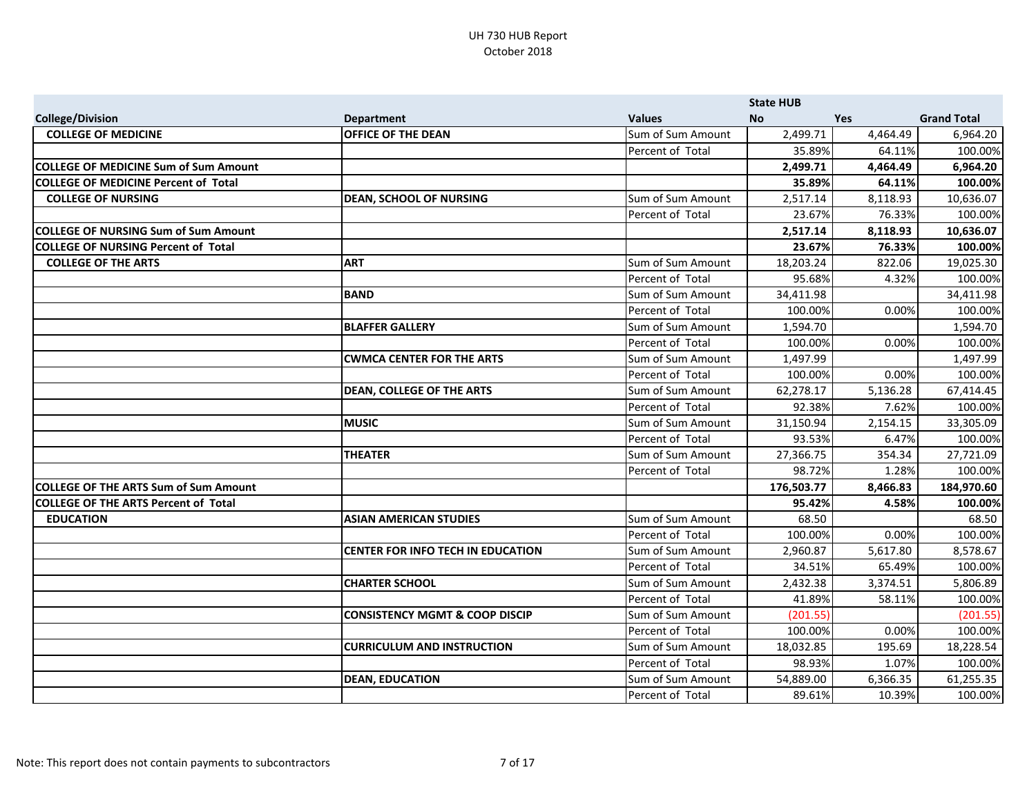|                                              |                                           |                   | <b>State HUB</b> |          |                    |
|----------------------------------------------|-------------------------------------------|-------------------|------------------|----------|--------------------|
| <b>College/Division</b>                      | <b>Department</b>                         | <b>Values</b>     | <b>No</b>        | Yes      | <b>Grand Total</b> |
| <b>COLLEGE OF MEDICINE</b>                   | <b>OFFICE OF THE DEAN</b>                 | Sum of Sum Amount | 2,499.71         | 4,464.49 | 6,964.20           |
|                                              |                                           | Percent of Total  | 35.89%           | 64.11%   | 100.00%            |
| <b>COLLEGE OF MEDICINE Sum of Sum Amount</b> |                                           |                   | 2,499.71         | 4,464.49 | 6,964.20           |
| COLLEGE OF MEDICINE Percent of Total         |                                           |                   | 35.89%           | 64.11%   | 100.00%            |
| <b>COLLEGE OF NURSING</b>                    | <b>DEAN, SCHOOL OF NURSING</b>            | Sum of Sum Amount | 2,517.14         | 8,118.93 | 10,636.07          |
|                                              |                                           | Percent of Total  | 23.67%           | 76.33%   | 100.00%            |
| <b>COLLEGE OF NURSING Sum of Sum Amount</b>  |                                           |                   | 2,517.14         | 8,118.93 | 10,636.07          |
| <b>COLLEGE OF NURSING Percent of Total</b>   |                                           |                   | 23.67%           | 76.33%   | 100.00%            |
| <b>COLLEGE OF THE ARTS</b>                   | <b>ART</b>                                | Sum of Sum Amount | 18,203.24        | 822.06   | 19,025.30          |
|                                              |                                           | Percent of Total  | 95.68%           | 4.32%    | 100.00%            |
|                                              | <b>BAND</b>                               | Sum of Sum Amount | 34,411.98        |          | 34,411.98          |
|                                              |                                           | Percent of Total  | 100.00%          | 0.00%    | 100.00%            |
|                                              | <b>BLAFFER GALLERY</b>                    | Sum of Sum Amount | 1,594.70         |          | 1,594.70           |
|                                              |                                           | Percent of Total  | 100.00%          | 0.00%    | 100.00%            |
|                                              | <b>CWMCA CENTER FOR THE ARTS</b>          | Sum of Sum Amount | 1,497.99         |          | 1,497.99           |
|                                              |                                           | Percent of Total  | 100.00%          | 0.00%    | 100.00%            |
|                                              | <b>DEAN, COLLEGE OF THE ARTS</b>          | Sum of Sum Amount | 62,278.17        | 5,136.28 | 67,414.45          |
|                                              |                                           | Percent of Total  | 92.38%           | 7.62%    | 100.00%            |
|                                              | <b>MUSIC</b>                              | Sum of Sum Amount | 31,150.94        | 2,154.15 | 33,305.09          |
|                                              |                                           | Percent of Total  | 93.53%           | 6.47%    | 100.00%            |
|                                              | <b>THEATER</b>                            | Sum of Sum Amount | 27,366.75        | 354.34   | 27,721.09          |
|                                              |                                           | Percent of Total  | 98.72%           | 1.28%    | 100.00%            |
| <b>COLLEGE OF THE ARTS Sum of Sum Amount</b> |                                           |                   | 176,503.77       | 8,466.83 | 184,970.60         |
| <b>COLLEGE OF THE ARTS Percent of Total</b>  |                                           |                   | 95.42%           | 4.58%    | 100.00%            |
| <b>EDUCATION</b>                             | <b>ASIAN AMERICAN STUDIES</b>             | Sum of Sum Amount | 68.50            |          | 68.50              |
|                                              |                                           | Percent of Total  | 100.00%          | 0.00%    | 100.00%            |
|                                              | <b>CENTER FOR INFO TECH IN EDUCATION</b>  | Sum of Sum Amount | 2,960.87         | 5,617.80 | 8,578.67           |
|                                              |                                           | Percent of Total  | 34.51%           | 65.49%   | 100.00%            |
|                                              | <b>CHARTER SCHOOL</b>                     | Sum of Sum Amount | 2,432.38         | 3,374.51 | 5,806.89           |
|                                              |                                           | Percent of Total  | 41.89%           | 58.11%   | 100.00%            |
|                                              | <b>CONSISTENCY MGMT &amp; COOP DISCIP</b> | Sum of Sum Amount | (201.55)         |          | (201.55)           |
|                                              |                                           | Percent of Total  | 100.00%          | 0.00%    | 100.00%            |
|                                              | <b>CURRICULUM AND INSTRUCTION</b>         | Sum of Sum Amount | 18,032.85        | 195.69   | 18,228.54          |
|                                              |                                           | Percent of Total  | 98.93%           | 1.07%    | 100.00%            |
|                                              | <b>DEAN, EDUCATION</b>                    | Sum of Sum Amount | 54,889.00        | 6,366.35 | 61,255.35          |
|                                              |                                           | Percent of Total  | 89.61%           | 10.39%   | 100.00%            |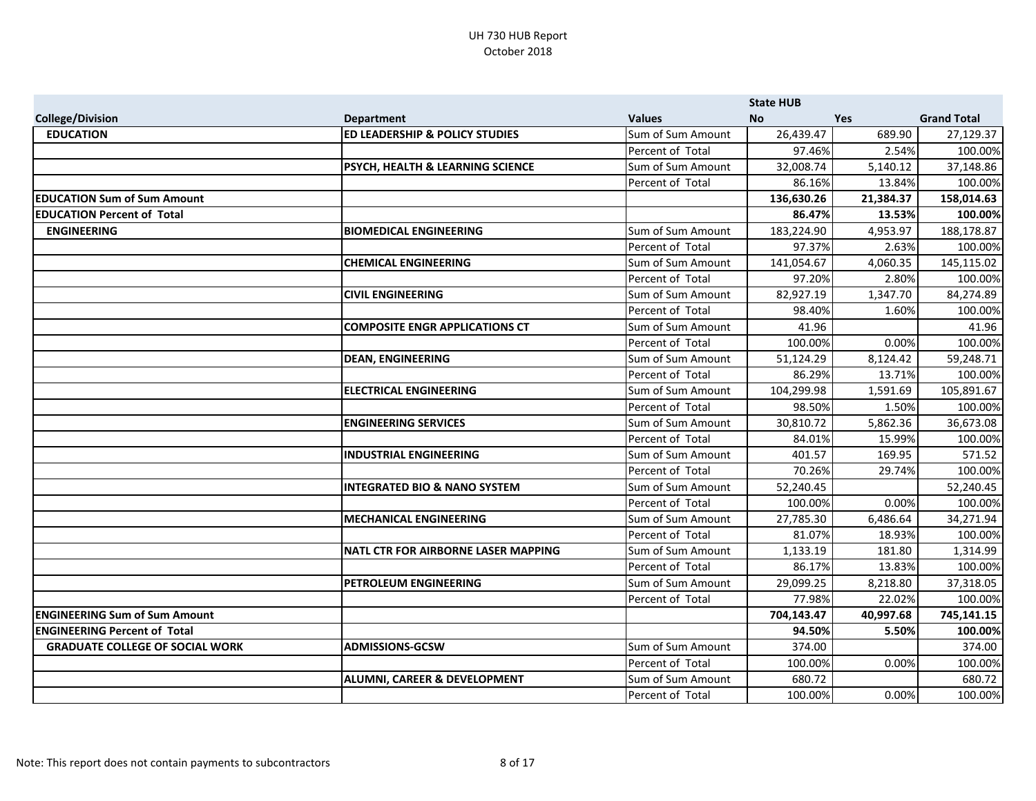|                                        |                                             |                   | <b>State HUB</b> |           |                    |
|----------------------------------------|---------------------------------------------|-------------------|------------------|-----------|--------------------|
| <b>College/Division</b>                | <b>Department</b>                           | <b>Values</b>     | <b>No</b>        | Yes       | <b>Grand Total</b> |
| <b>EDUCATION</b>                       | <b>ED LEADERSHIP &amp; POLICY STUDIES</b>   | Sum of Sum Amount | 26,439.47        | 689.90    | 27,129.37          |
|                                        |                                             | Percent of Total  | 97.46%           | 2.54%     | 100.00%            |
|                                        | <b>PSYCH, HEALTH &amp; LEARNING SCIENCE</b> | Sum of Sum Amount | 32,008.74        | 5,140.12  | 37,148.86          |
|                                        |                                             | Percent of Total  | 86.16%           | 13.84%    | 100.00%            |
| <b>EDUCATION Sum of Sum Amount</b>     |                                             |                   | 136,630.26       | 21,384.37 | 158,014.63         |
| <b>EDUCATION Percent of Total</b>      |                                             |                   | 86.47%           | 13.53%    | 100.00%            |
| <b>ENGINEERING</b>                     | <b>BIOMEDICAL ENGINEERING</b>               | Sum of Sum Amount | 183,224.90       | 4,953.97  | 188,178.87         |
|                                        |                                             | Percent of Total  | 97.37%           | 2.63%     | 100.00%            |
|                                        | <b>CHEMICAL ENGINEERING</b>                 | Sum of Sum Amount | 141,054.67       | 4,060.35  | 145,115.02         |
|                                        |                                             | Percent of Total  | 97.20%           | 2.80%     | 100.00%            |
|                                        | <b>CIVIL ENGINEERING</b>                    | Sum of Sum Amount | 82,927.19        | 1,347.70  | 84,274.89          |
|                                        |                                             | Percent of Total  | 98.40%           | 1.60%     | 100.00%            |
|                                        | <b>COMPOSITE ENGR APPLICATIONS CT</b>       | Sum of Sum Amount | 41.96            |           | 41.96              |
|                                        |                                             | Percent of Total  | 100.00%          | 0.00%     | 100.00%            |
|                                        | <b>DEAN, ENGINEERING</b>                    | Sum of Sum Amount | 51,124.29        | 8,124.42  | 59,248.71          |
|                                        |                                             | Percent of Total  | 86.29%           | 13.71%    | 100.00%            |
|                                        | <b>ELECTRICAL ENGINEERING</b>               | Sum of Sum Amount | 104,299.98       | 1,591.69  | 105,891.67         |
|                                        |                                             | Percent of Total  | 98.50%           | 1.50%     | 100.00%            |
|                                        | <b>ENGINEERING SERVICES</b>                 | Sum of Sum Amount | 30,810.72        | 5,862.36  | 36,673.08          |
|                                        |                                             | Percent of Total  | 84.01%           | 15.99%    | 100.00%            |
|                                        | <b>INDUSTRIAL ENGINEERING</b>               | Sum of Sum Amount | 401.57           | 169.95    | 571.52             |
|                                        |                                             | Percent of Total  | 70.26%           | 29.74%    | 100.00%            |
|                                        | <b>INTEGRATED BIO &amp; NANO SYSTEM</b>     | Sum of Sum Amount | 52,240.45        |           | 52,240.45          |
|                                        |                                             | Percent of Total  | 100.00%          | 0.00%     | 100.00%            |
|                                        | <b>MECHANICAL ENGINEERING</b>               | Sum of Sum Amount | 27,785.30        | 6,486.64  | 34,271.94          |
|                                        |                                             | Percent of Total  | 81.07%           | 18.93%    | 100.00%            |
|                                        | <b>NATL CTR FOR AIRBORNE LASER MAPPING</b>  | Sum of Sum Amount | 1,133.19         | 181.80    | 1,314.99           |
|                                        |                                             | Percent of Total  | 86.17%           | 13.83%    | 100.00%            |
|                                        | <b>PETROLEUM ENGINEERING</b>                | Sum of Sum Amount | 29,099.25        | 8,218.80  | 37,318.05          |
|                                        |                                             | Percent of Total  | 77.98%           | 22.02%    | 100.00%            |
| <b>ENGINEERING Sum of Sum Amount</b>   |                                             |                   | 704,143.47       | 40,997.68 | 745,141.15         |
| <b>ENGINEERING Percent of Total</b>    |                                             |                   | 94.50%           | 5.50%     | 100.00%            |
| <b>GRADUATE COLLEGE OF SOCIAL WORK</b> | <b>ADMISSIONS-GCSW</b>                      | Sum of Sum Amount | 374.00           |           | 374.00             |
|                                        |                                             | Percent of Total  | 100.00%          | 0.00%     | 100.00%            |
|                                        | <b>ALUMNI, CAREER &amp; DEVELOPMENT</b>     | Sum of Sum Amount | 680.72           |           | 680.72             |
|                                        |                                             | Percent of Total  | 100.00%          | 0.00%     | 100.00%            |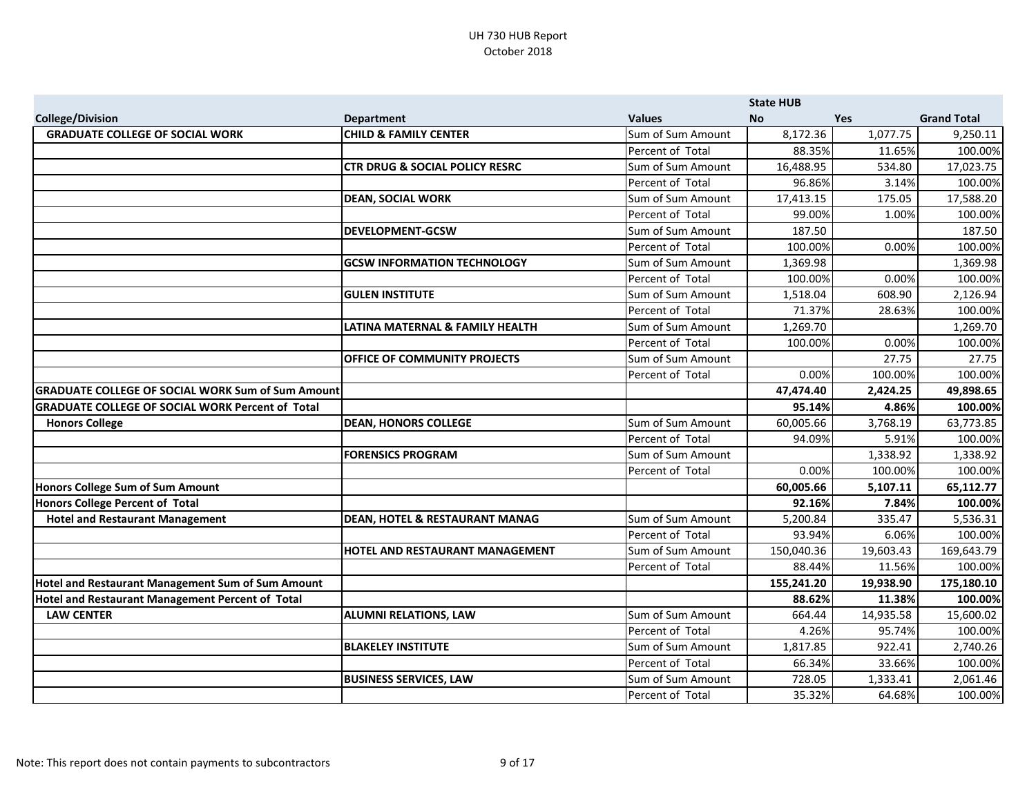|                                                          |                                           |                   | <b>State HUB</b> |            |                    |
|----------------------------------------------------------|-------------------------------------------|-------------------|------------------|------------|--------------------|
| <b>College/Division</b>                                  | <b>Department</b>                         | <b>Values</b>     | <b>No</b>        | <b>Yes</b> | <b>Grand Total</b> |
| <b>GRADUATE COLLEGE OF SOCIAL WORK</b>                   | <b>CHILD &amp; FAMILY CENTER</b>          | Sum of Sum Amount | 8,172.36         | 1,077.75   | 9,250.11           |
|                                                          |                                           | Percent of Total  | 88.35%           | 11.65%     | 100.00%            |
|                                                          | <b>CTR DRUG &amp; SOCIAL POLICY RESRC</b> | Sum of Sum Amount | 16,488.95        | 534.80     | 17,023.75          |
|                                                          |                                           | Percent of Total  | 96.86%           | 3.14%      | 100.00%            |
|                                                          | <b>DEAN, SOCIAL WORK</b>                  | Sum of Sum Amount | 17,413.15        | 175.05     | 17,588.20          |
|                                                          |                                           | Percent of Total  | 99.00%           | 1.00%      | 100.00%            |
|                                                          | <b>DEVELOPMENT-GCSW</b>                   | Sum of Sum Amount | 187.50           |            | 187.50             |
|                                                          |                                           | Percent of Total  | 100.00%          | 0.00%      | 100.00%            |
|                                                          | <b>GCSW INFORMATION TECHNOLOGY</b>        | Sum of Sum Amount | 1,369.98         |            | 1,369.98           |
|                                                          |                                           | Percent of Total  | 100.00%          | 0.00%      | 100.00%            |
|                                                          | <b>GULEN INSTITUTE</b>                    | Sum of Sum Amount | 1,518.04         | 608.90     | 2,126.94           |
|                                                          |                                           | Percent of Total  | 71.37%           | 28.63%     | 100.00%            |
|                                                          | LATINA MATERNAL & FAMILY HEALTH           | Sum of Sum Amount | 1,269.70         |            | 1,269.70           |
|                                                          |                                           | Percent of Total  | 100.00%          | 0.00%      | 100.00%            |
|                                                          | OFFICE OF COMMUNITY PROJECTS              | Sum of Sum Amount |                  | 27.75      | 27.75              |
|                                                          |                                           | Percent of Total  | 0.00%            | 100.00%    | 100.00%            |
| <b>GRADUATE COLLEGE OF SOCIAL WORK Sum of Sum Amount</b> |                                           |                   | 47,474.40        | 2,424.25   | 49,898.65          |
| <b>GRADUATE COLLEGE OF SOCIAL WORK Percent of Total</b>  |                                           |                   | 95.14%           | 4.86%      | 100.00%            |
| <b>Honors College</b>                                    | <b>DEAN, HONORS COLLEGE</b>               | Sum of Sum Amount | 60,005.66        | 3,768.19   | 63,773.85          |
|                                                          |                                           | Percent of Total  | 94.09%           | 5.91%      | 100.00%            |
|                                                          | <b>FORENSICS PROGRAM</b>                  | Sum of Sum Amount |                  | 1,338.92   | 1,338.92           |
|                                                          |                                           | Percent of Total  | 0.00%            | 100.00%    | 100.00%            |
| Honors College Sum of Sum Amount                         |                                           |                   | 60,005.66        | 5,107.11   | 65,112.77          |
| Honors College Percent of Total                          |                                           |                   | 92.16%           | 7.84%      | 100.00%            |
| <b>Hotel and Restaurant Management</b>                   | <b>DEAN, HOTEL &amp; RESTAURANT MANAG</b> | Sum of Sum Amount | 5,200.84         | 335.47     | 5,536.31           |
|                                                          |                                           | Percent of Total  | 93.94%           | 6.06%      | 100.00%            |
|                                                          | HOTEL AND RESTAURANT MANAGEMENT           | Sum of Sum Amount | 150,040.36       | 19,603.43  | 169,643.79         |
|                                                          |                                           | Percent of Total  | 88.44%           | 11.56%     | 100.00%            |
| Hotel and Restaurant Management Sum of Sum Amount        |                                           |                   | 155,241.20       | 19,938.90  | 175,180.10         |
| Hotel and Restaurant Management Percent of Total         |                                           |                   | 88.62%           | 11.38%     | 100.00%            |
| <b>LAW CENTER</b>                                        | <b>ALUMNI RELATIONS, LAW</b>              | Sum of Sum Amount | 664.44           | 14,935.58  | 15,600.02          |
|                                                          |                                           | Percent of Total  | 4.26%            | 95.74%     | 100.00%            |
|                                                          | <b>BLAKELEY INSTITUTE</b>                 | Sum of Sum Amount | 1,817.85         | 922.41     | 2,740.26           |
|                                                          |                                           | Percent of Total  | 66.34%           | 33.66%     | 100.00%            |
|                                                          | <b>BUSINESS SERVICES, LAW</b>             | Sum of Sum Amount | 728.05           | 1,333.41   | 2,061.46           |
|                                                          |                                           | Percent of Total  | 35.32%           | 64.68%     | 100.00%            |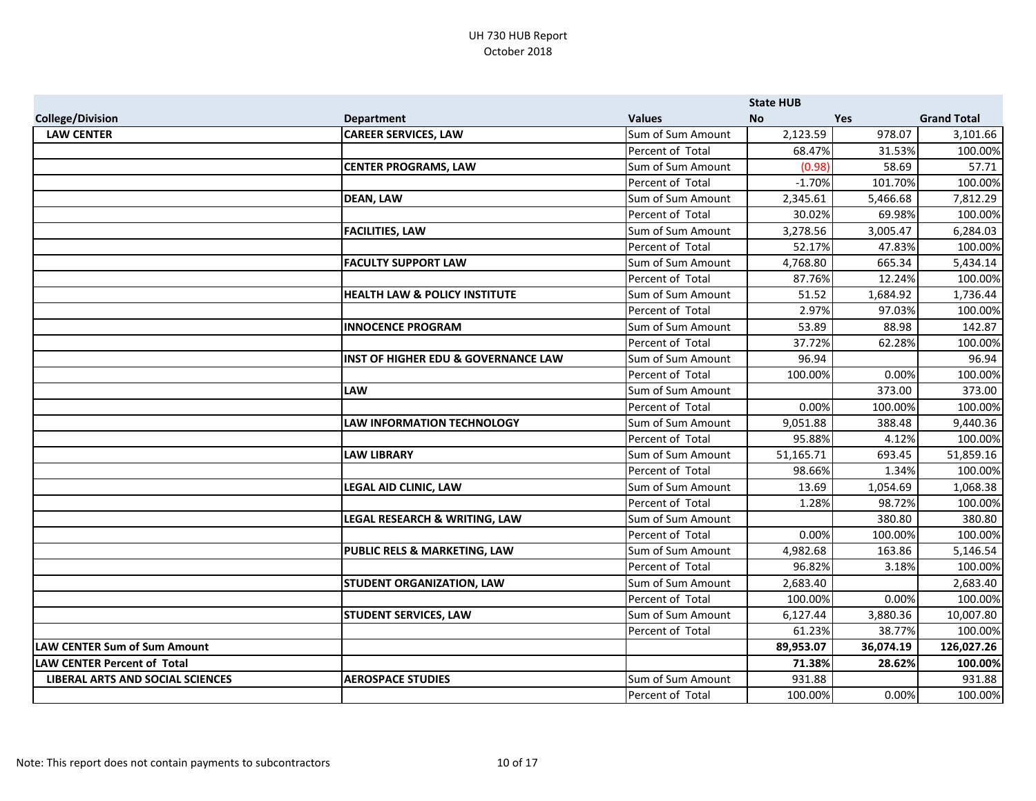|                                     |                                                |                   | <b>State HUB</b> |            |                    |
|-------------------------------------|------------------------------------------------|-------------------|------------------|------------|--------------------|
| <b>College/Division</b>             | <b>Department</b>                              | <b>Values</b>     | <b>No</b>        | <b>Yes</b> | <b>Grand Total</b> |
| <b>LAW CENTER</b>                   | <b>CAREER SERVICES, LAW</b>                    | Sum of Sum Amount | 2,123.59         | 978.07     | 3,101.66           |
|                                     |                                                | Percent of Total  | 68.47%           | 31.53%     | 100.00%            |
|                                     | <b>CENTER PROGRAMS, LAW</b>                    | Sum of Sum Amount | (0.98)           | 58.69      | 57.71              |
|                                     |                                                | Percent of Total  | $-1.70%$         | 101.70%    | 100.00%            |
|                                     | <b>DEAN, LAW</b>                               | Sum of Sum Amount | 2,345.61         | 5,466.68   | 7,812.29           |
|                                     |                                                | Percent of Total  | 30.02%           | 69.98%     | 100.00%            |
|                                     | <b>FACILITIES, LAW</b>                         | Sum of Sum Amount | 3,278.56         | 3,005.47   | 6,284.03           |
|                                     |                                                | Percent of Total  | 52.17%           | 47.83%     | 100.00%            |
|                                     | <b>FACULTY SUPPORT LAW</b>                     | Sum of Sum Amount | 4,768.80         | 665.34     | 5,434.14           |
|                                     |                                                | Percent of Total  | 87.76%           | 12.24%     | 100.00%            |
|                                     | <b>HEALTH LAW &amp; POLICY INSTITUTE</b>       | Sum of Sum Amount | 51.52            | 1,684.92   | 1,736.44           |
|                                     |                                                | Percent of Total  | 2.97%            | 97.03%     | 100.00%            |
|                                     | <b>INNOCENCE PROGRAM</b>                       | Sum of Sum Amount | 53.89            | 88.98      | 142.87             |
|                                     |                                                | Percent of Total  | 37.72%           | 62.28%     | 100.00%            |
|                                     | <b>INST OF HIGHER EDU &amp; GOVERNANCE LAW</b> | Sum of Sum Amount | 96.94            |            | 96.94              |
|                                     |                                                | Percent of Total  | 100.00%          | 0.00%      | 100.00%            |
|                                     | <b>LAW</b>                                     | Sum of Sum Amount |                  | 373.00     | 373.00             |
|                                     |                                                | Percent of Total  | 0.00%            | 100.00%    | 100.00%            |
|                                     | <b>LAW INFORMATION TECHNOLOGY</b>              | Sum of Sum Amount | 9,051.88         | 388.48     | 9,440.36           |
|                                     |                                                | Percent of Total  | 95.88%           | 4.12%      | 100.00%            |
|                                     | <b>LAW LIBRARY</b>                             | Sum of Sum Amount | 51,165.71        | 693.45     | 51,859.16          |
|                                     |                                                | Percent of Total  | 98.66%           | 1.34%      | 100.00%            |
|                                     | LEGAL AID CLINIC, LAW                          | Sum of Sum Amount | 13.69            | 1,054.69   | 1,068.38           |
|                                     |                                                | Percent of Total  | 1.28%            | 98.72%     | 100.00%            |
|                                     | LEGAL RESEARCH & WRITING, LAW                  | Sum of Sum Amount |                  | 380.80     | 380.80             |
|                                     |                                                | Percent of Total  | 0.00%            | 100.00%    | 100.00%            |
|                                     | PUBLIC RELS & MARKETING, LAW                   | Sum of Sum Amount | 4,982.68         | 163.86     | 5,146.54           |
|                                     |                                                | Percent of Total  | 96.82%           | 3.18%      | 100.00%            |
|                                     | <b>STUDENT ORGANIZATION, LAW</b>               | Sum of Sum Amount | 2,683.40         |            | 2,683.40           |
|                                     |                                                | Percent of Total  | 100.00%          | 0.00%      | 100.00%            |
|                                     | <b>STUDENT SERVICES, LAW</b>                   | Sum of Sum Amount | 6,127.44         | 3,880.36   | 10,007.80          |
|                                     |                                                | Percent of Total  | 61.23%           | 38.77%     | 100.00%            |
| <b>LAW CENTER Sum of Sum Amount</b> |                                                |                   | 89,953.07        | 36,074.19  | 126,027.26         |
| <b>LAW CENTER Percent of Total</b>  |                                                |                   | 71.38%           | 28.62%     | 100.00%            |
| LIBERAL ARTS AND SOCIAL SCIENCES    | <b>AEROSPACE STUDIES</b>                       | Sum of Sum Amount | 931.88           |            | 931.88             |
|                                     |                                                | Percent of Total  | 100.00%          | 0.00%      | 100.00%            |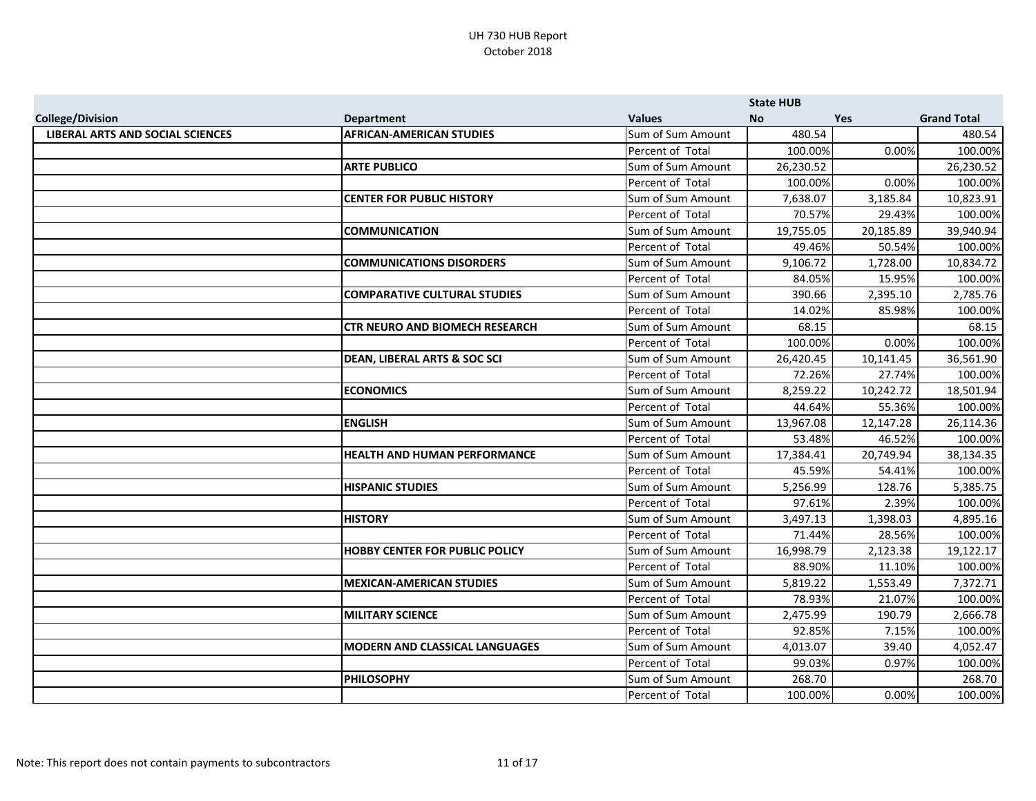|                                         |                                         |                   | <b>State HUB</b> |            |                    |
|-----------------------------------------|-----------------------------------------|-------------------|------------------|------------|--------------------|
| <b>College/Division</b>                 | <b>Department</b>                       | <b>Values</b>     | <b>No</b>        | <b>Yes</b> | <b>Grand Total</b> |
| <b>LIBERAL ARTS AND SOCIAL SCIENCES</b> | <b>AFRICAN-AMERICAN STUDIES</b>         | Sum of Sum Amount | 480.54           |            | 480.54             |
|                                         |                                         | Percent of Total  | 100.00%          | 0.00%      | 100.00%            |
|                                         | <b>ARTE PUBLICO</b>                     | Sum of Sum Amount | 26,230.52        |            | 26,230.52          |
|                                         |                                         | Percent of Total  | 100.00%          | 0.00%      | 100.00%            |
|                                         | <b>CENTER FOR PUBLIC HISTORY</b>        | Sum of Sum Amount | 7,638.07         | 3,185.84   | 10,823.91          |
|                                         |                                         | Percent of Total  | 70.57%           | 29.43%     | 100.00%            |
|                                         | <b>COMMUNICATION</b>                    | Sum of Sum Amount | 19,755.05        | 20,185.89  | 39,940.94          |
|                                         |                                         | Percent of Total  | 49.46%           | 50.54%     | 100.00%            |
|                                         | <b>COMMUNICATIONS DISORDERS</b>         | Sum of Sum Amount | 9,106.72         | 1,728.00   | 10,834.72          |
|                                         |                                         | Percent of Total  | 84.05%           | 15.95%     | 100.00%            |
|                                         | <b>COMPARATIVE CULTURAL STUDIES</b>     | Sum of Sum Amount | 390.66           | 2,395.10   | 2,785.76           |
|                                         |                                         | Percent of Total  | 14.02%           | 85.98%     | 100.00%            |
|                                         | <b>CTR NEURO AND BIOMECH RESEARCH</b>   | Sum of Sum Amount | 68.15            |            | 68.15              |
|                                         |                                         | Percent of Total  | 100.00%          | 0.00%      | 100.00%            |
|                                         | <b>DEAN, LIBERAL ARTS &amp; SOC SCI</b> | Sum of Sum Amount | 26,420.45        | 10,141.45  | 36,561.90          |
|                                         |                                         | Percent of Total  | 72.26%           | 27.74%     | 100.00%            |
|                                         | <b>ECONOMICS</b>                        | Sum of Sum Amount | 8,259.22         | 10,242.72  | 18,501.94          |
|                                         |                                         | Percent of Total  | 44.64%           | 55.36%     | 100.00%            |
|                                         | <b>ENGLISH</b>                          | Sum of Sum Amount | 13,967.08        | 12,147.28  | 26,114.36          |
|                                         |                                         | Percent of Total  | 53.48%           | 46.52%     | 100.00%            |
|                                         | <b>HEALTH AND HUMAN PERFORMANCE</b>     | Sum of Sum Amount | 17,384.41        | 20,749.94  | 38,134.35          |
|                                         |                                         | Percent of Total  | 45.59%           | 54.41%     | 100.00%            |
|                                         | <b>HISPANIC STUDIES</b>                 | Sum of Sum Amount | 5,256.99         | 128.76     | 5,385.75           |
|                                         |                                         | Percent of Total  | 97.61%           | 2.39%      | 100.00%            |
|                                         | <b>HISTORY</b>                          | Sum of Sum Amount | 3,497.13         | 1,398.03   | 4,895.16           |
|                                         |                                         | Percent of Total  | 71.44%           | 28.56%     | 100.00%            |
|                                         | <b>HOBBY CENTER FOR PUBLIC POLICY</b>   | Sum of Sum Amount | 16,998.79        | 2,123.38   | 19,122.17          |
|                                         |                                         | Percent of Total  | 88.90%           | 11.10%     | 100.00%            |
|                                         | <b>MEXICAN-AMERICAN STUDIES</b>         | Sum of Sum Amount | 5,819.22         | 1,553.49   | 7,372.71           |
|                                         |                                         | Percent of Total  | 78.93%           | 21.07%     | 100.00%            |
|                                         | <b>MILITARY SCIENCE</b>                 | Sum of Sum Amount | 2,475.99         | 190.79     | 2,666.78           |
|                                         |                                         | Percent of Total  | 92.85%           | 7.15%      | 100.00%            |
|                                         | <b>MODERN AND CLASSICAL LANGUAGES</b>   | Sum of Sum Amount | 4,013.07         | 39.40      | 4,052.47           |
|                                         |                                         | Percent of Total  | 99.03%           | 0.97%      | 100.00%            |
|                                         | <b>PHILOSOPHY</b>                       | Sum of Sum Amount | 268.70           |            | 268.70             |
|                                         |                                         | Percent of Total  | 100.00%          | 0.00%      | 100.00%            |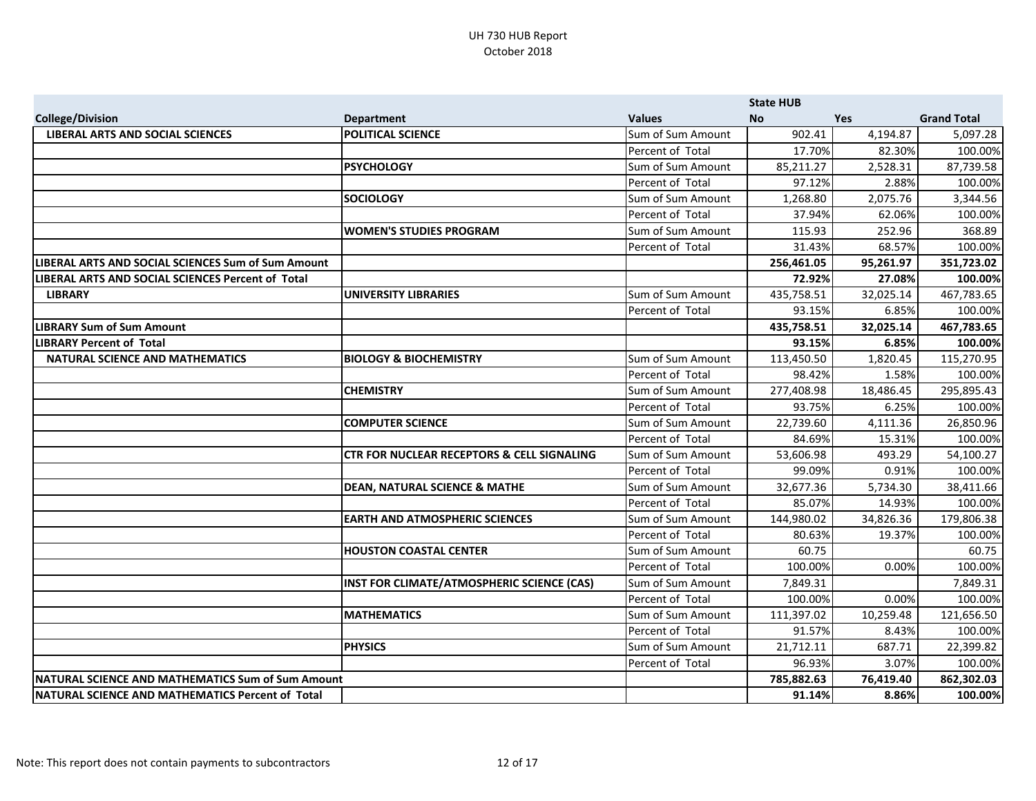|                                                    |                                                       |                   | <b>State HUB</b> |            |                    |
|----------------------------------------------------|-------------------------------------------------------|-------------------|------------------|------------|--------------------|
| <b>College/Division</b>                            | <b>Department</b>                                     | <b>Values</b>     | <b>No</b>        | <b>Yes</b> | <b>Grand Total</b> |
| <b>LIBERAL ARTS AND SOCIAL SCIENCES</b>            | <b>POLITICAL SCIENCE</b>                              | Sum of Sum Amount | 902.41           | 4,194.87   | 5,097.28           |
|                                                    |                                                       | Percent of Total  | 17.70%           | 82.30%     | 100.00%            |
|                                                    | <b>PSYCHOLOGY</b>                                     | Sum of Sum Amount | 85,211.27        | 2,528.31   | 87,739.58          |
|                                                    |                                                       | Percent of Total  | 97.12%           | 2.88%      | 100.00%            |
|                                                    | <b>SOCIOLOGY</b>                                      | Sum of Sum Amount | 1,268.80         | 2,075.76   | 3,344.56           |
|                                                    |                                                       | Percent of Total  | 37.94%           | 62.06%     | 100.00%            |
|                                                    | <b>WOMEN'S STUDIES PROGRAM</b>                        | Sum of Sum Amount | 115.93           | 252.96     | 368.89             |
|                                                    |                                                       | Percent of Total  | 31.43%           | 68.57%     | 100.00%            |
| LIBERAL ARTS AND SOCIAL SCIENCES Sum of Sum Amount |                                                       |                   | 256,461.05       | 95,261.97  | 351,723.02         |
| LIBERAL ARTS AND SOCIAL SCIENCES Percent of Total  |                                                       |                   | 72.92%           | 27.08%     | 100.00%            |
| <b>LIBRARY</b>                                     | <b>UNIVERSITY LIBRARIES</b>                           | Sum of Sum Amount | 435,758.51       | 32,025.14  | 467,783.65         |
|                                                    |                                                       | Percent of Total  | 93.15%           | 6.85%      | 100.00%            |
| <b>LIBRARY Sum of Sum Amount</b>                   |                                                       |                   | 435,758.51       | 32,025.14  | 467,783.65         |
| <b>LIBRARY Percent of Total</b>                    |                                                       |                   | 93.15%           | 6.85%      | 100.00%            |
| NATURAL SCIENCE AND MATHEMATICS                    | <b>BIOLOGY &amp; BIOCHEMISTRY</b>                     | Sum of Sum Amount | 113,450.50       | 1,820.45   | 115,270.95         |
|                                                    |                                                       | Percent of Total  | 98.42%           | 1.58%      | 100.00%            |
|                                                    | <b>CHEMISTRY</b>                                      | Sum of Sum Amount | 277,408.98       | 18,486.45  | 295,895.43         |
|                                                    |                                                       | Percent of Total  | 93.75%           | 6.25%      | 100.00%            |
|                                                    | <b>COMPUTER SCIENCE</b>                               | Sum of Sum Amount | 22,739.60        | 4,111.36   | 26,850.96          |
|                                                    |                                                       | Percent of Total  | 84.69%           | 15.31%     | 100.00%            |
|                                                    | <b>CTR FOR NUCLEAR RECEPTORS &amp; CELL SIGNALING</b> | Sum of Sum Amount | 53,606.98        | 493.29     | 54,100.27          |
|                                                    |                                                       | Percent of Total  | 99.09%           | 0.91%      | 100.00%            |
|                                                    | <b>DEAN, NATURAL SCIENCE &amp; MATHE</b>              | Sum of Sum Amount | 32,677.36        | 5,734.30   | 38,411.66          |
|                                                    |                                                       | Percent of Total  | 85.07%           | 14.93%     | 100.00%            |
|                                                    | <b>EARTH AND ATMOSPHERIC SCIENCES</b>                 | Sum of Sum Amount | 144,980.02       | 34,826.36  | 179,806.38         |
|                                                    |                                                       | Percent of Total  | 80.63%           | 19.37%     | 100.00%            |
|                                                    | <b>HOUSTON COASTAL CENTER</b>                         | Sum of Sum Amount | 60.75            |            | 60.75              |
|                                                    |                                                       | Percent of Total  | 100.00%          | 0.00%      | 100.00%            |
|                                                    | INST FOR CLIMATE/ATMOSPHERIC SCIENCE (CAS)            | Sum of Sum Amount | 7,849.31         |            | 7,849.31           |
|                                                    |                                                       | Percent of Total  | 100.00%          | 0.00%      | 100.00%            |
|                                                    | <b>MATHEMATICS</b>                                    | Sum of Sum Amount | 111,397.02       | 10,259.48  | 121,656.50         |
|                                                    |                                                       | Percent of Total  | 91.57%           | 8.43%      | 100.00%            |
|                                                    | <b>PHYSICS</b>                                        | Sum of Sum Amount | 21,712.11        | 687.71     | 22,399.82          |
|                                                    |                                                       | Percent of Total  | 96.93%           | 3.07%      | 100.00%            |
| NATURAL SCIENCE AND MATHEMATICS Sum of Sum Amount  |                                                       |                   | 785,882.63       | 76,419.40  | 862,302.03         |
| NATURAL SCIENCE AND MATHEMATICS Percent of Total   |                                                       |                   | 91.14%           | 8.86%      | 100.00%            |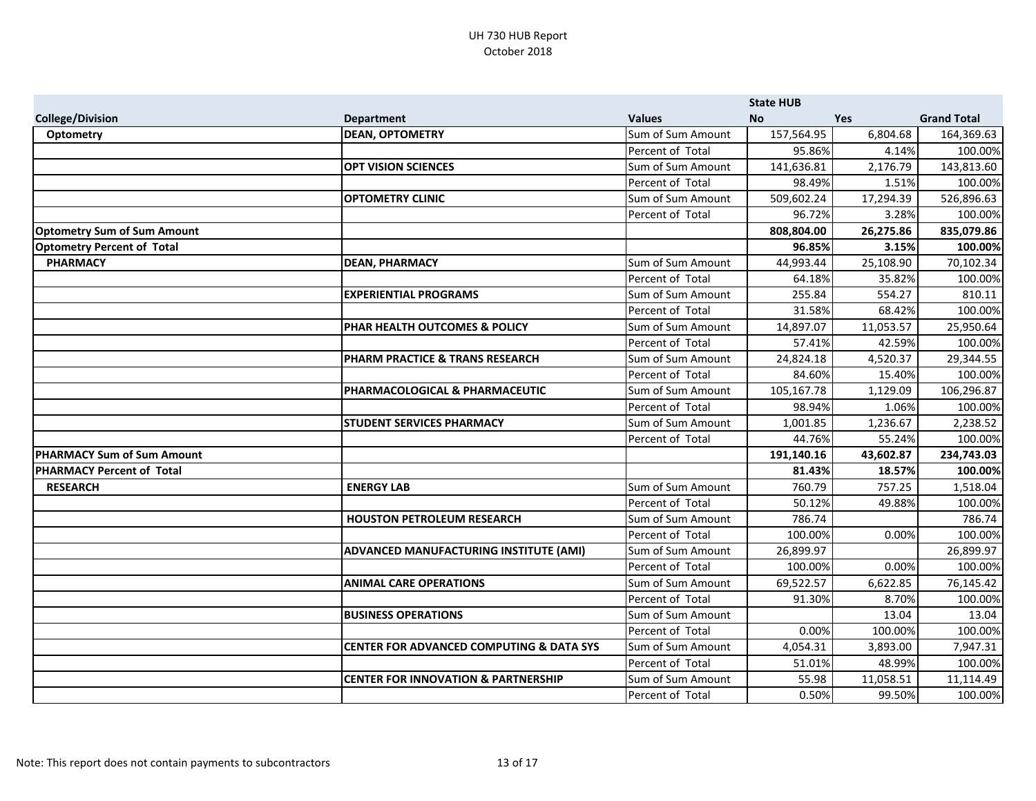|                                    |                                                     |                   | <b>State HUB</b> |            |                    |
|------------------------------------|-----------------------------------------------------|-------------------|------------------|------------|--------------------|
| <b>College/Division</b>            | <b>Department</b>                                   | <b>Values</b>     | <b>No</b>        | <b>Yes</b> | <b>Grand Total</b> |
| <b>Optometry</b>                   | <b>DEAN, OPTOMETRY</b>                              | Sum of Sum Amount | 157,564.95       | 6,804.68   | 164,369.63         |
|                                    |                                                     | Percent of Total  | 95.86%           | 4.14%      | 100.00%            |
|                                    | <b>OPT VISION SCIENCES</b>                          | Sum of Sum Amount | 141,636.81       | 2,176.79   | 143,813.60         |
|                                    |                                                     | Percent of Total  | 98.49%           | 1.51%      | 100.00%            |
|                                    | <b>OPTOMETRY CLINIC</b>                             | Sum of Sum Amount | 509,602.24       | 17,294.39  | 526,896.63         |
|                                    |                                                     | Percent of Total  | 96.72%           | 3.28%      | 100.00%            |
| <b>Optometry Sum of Sum Amount</b> |                                                     |                   | 808,804.00       | 26,275.86  | 835,079.86         |
| <b>Optometry Percent of Total</b>  |                                                     |                   | 96.85%           | 3.15%      | 100.00%            |
| <b>PHARMACY</b>                    | <b>DEAN, PHARMACY</b>                               | Sum of Sum Amount | 44,993.44        | 25,108.90  | 70,102.34          |
|                                    |                                                     | Percent of Total  | 64.18%           | 35.82%     | 100.00%            |
|                                    | <b>EXPERIENTIAL PROGRAMS</b>                        | Sum of Sum Amount | 255.84           | 554.27     | 810.11             |
|                                    |                                                     | Percent of Total  | 31.58%           | 68.42%     | 100.00%            |
|                                    | PHAR HEALTH OUTCOMES & POLICY                       | Sum of Sum Amount | 14,897.07        | 11,053.57  | 25,950.64          |
|                                    |                                                     | Percent of Total  | 57.41%           | 42.59%     | 100.00%            |
|                                    | PHARM PRACTICE & TRANS RESEARCH                     | Sum of Sum Amount | 24,824.18        | 4,520.37   | 29,344.55          |
|                                    |                                                     | Percent of Total  | 84.60%           | 15.40%     | 100.00%            |
|                                    | PHARMACOLOGICAL & PHARMACEUTIC                      | Sum of Sum Amount | 105,167.78       | 1,129.09   | 106,296.87         |
|                                    |                                                     | Percent of Total  | 98.94%           | 1.06%      | 100.00%            |
|                                    | <b>STUDENT SERVICES PHARMACY</b>                    | Sum of Sum Amount | 1,001.85         | 1,236.67   | 2,238.52           |
|                                    |                                                     | Percent of Total  | 44.76%           | 55.24%     | 100.00%            |
| <b>PHARMACY Sum of Sum Amount</b>  |                                                     |                   | 191,140.16       | 43,602.87  | 234,743.03         |
| <b>PHARMACY Percent of Total</b>   |                                                     |                   | 81.43%           | 18.57%     | 100.00%            |
| <b>RESEARCH</b>                    | <b>ENERGY LAB</b>                                   | Sum of Sum Amount | 760.79           | 757.25     | 1,518.04           |
|                                    |                                                     | Percent of Total  | 50.12%           | 49.88%     | 100.00%            |
|                                    | <b>HOUSTON PETROLEUM RESEARCH</b>                   | Sum of Sum Amount | 786.74           |            | 786.74             |
|                                    |                                                     | Percent of Total  | 100.00%          | 0.00%      | 100.00%            |
|                                    | ADVANCED MANUFACTURING INSTITUTE (AMI)              | Sum of Sum Amount | 26,899.97        |            | 26,899.97          |
|                                    |                                                     | Percent of Total  | 100.00%          | 0.00%      | 100.00%            |
|                                    | <b>ANIMAL CARE OPERATIONS</b>                       | Sum of Sum Amount | 69,522.57        | 6,622.85   | 76,145.42          |
|                                    |                                                     | Percent of Total  | 91.30%           | 8.70%      | 100.00%            |
|                                    | <b>BUSINESS OPERATIONS</b>                          | Sum of Sum Amount |                  | 13.04      | 13.04              |
|                                    |                                                     | Percent of Total  | 0.00%            | 100.00%    | 100.00%            |
|                                    | <b>CENTER FOR ADVANCED COMPUTING &amp; DATA SYS</b> | Sum of Sum Amount | 4,054.31         | 3,893.00   | 7,947.31           |
|                                    |                                                     | Percent of Total  | 51.01%           | 48.99%     | 100.00%            |
|                                    | <b>CENTER FOR INNOVATION &amp; PARTNERSHIP</b>      | Sum of Sum Amount | 55.98            | 11,058.51  | 11,114.49          |
|                                    |                                                     | Percent of Total  | 0.50%            | 99.50%     | 100.00%            |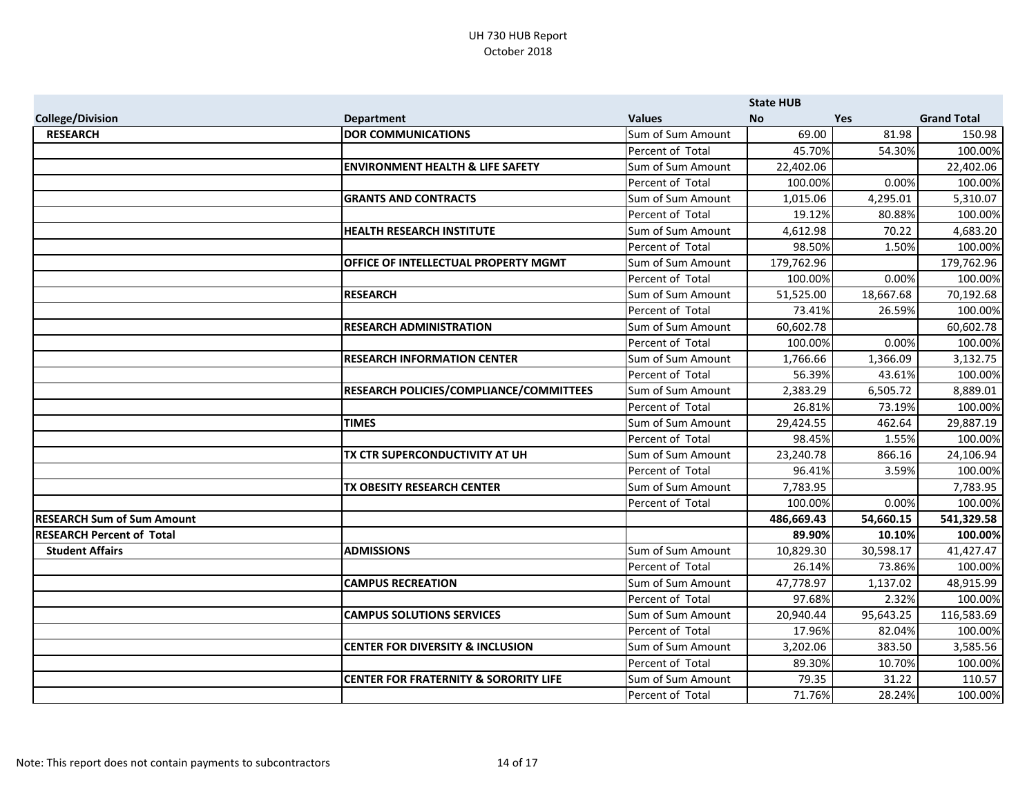|                                   |                                                  |                   | <b>State HUB</b> |            |                    |
|-----------------------------------|--------------------------------------------------|-------------------|------------------|------------|--------------------|
| <b>College/Division</b>           | <b>Department</b>                                | <b>Values</b>     | <b>No</b>        | <b>Yes</b> | <b>Grand Total</b> |
| <b>RESEARCH</b>                   | <b>DOR COMMUNICATIONS</b>                        | Sum of Sum Amount | 69.00            | 81.98      | 150.98             |
|                                   |                                                  | Percent of Total  | 45.70%           | 54.30%     | 100.00%            |
|                                   | <b>ENVIRONMENT HEALTH &amp; LIFE SAFETY</b>      | Sum of Sum Amount | 22,402.06        |            | 22,402.06          |
|                                   |                                                  | Percent of Total  | 100.00%          | 0.00%      | 100.00%            |
|                                   | <b>GRANTS AND CONTRACTS</b>                      | Sum of Sum Amount | 1,015.06         | 4,295.01   | 5,310.07           |
|                                   |                                                  | Percent of Total  | 19.12%           | 80.88%     | 100.00%            |
|                                   | <b>HEALTH RESEARCH INSTITUTE</b>                 | Sum of Sum Amount | 4,612.98         | 70.22      | 4,683.20           |
|                                   |                                                  | Percent of Total  | 98.50%           | 1.50%      | 100.00%            |
|                                   | OFFICE OF INTELLECTUAL PROPERTY MGMT             | Sum of Sum Amount | 179,762.96       |            | 179,762.96         |
|                                   |                                                  | Percent of Total  | 100.00%          | 0.00%      | 100.00%            |
|                                   | <b>RESEARCH</b>                                  | Sum of Sum Amount | 51,525.00        | 18,667.68  | 70,192.68          |
|                                   |                                                  | Percent of Total  | 73.41%           | 26.59%     | 100.00%            |
|                                   | <b>RESEARCH ADMINISTRATION</b>                   | Sum of Sum Amount | 60,602.78        |            | 60,602.78          |
|                                   |                                                  | Percent of Total  | 100.00%          | 0.00%      | 100.00%            |
|                                   | <b>RESEARCH INFORMATION CENTER</b>               | Sum of Sum Amount | 1,766.66         | 1,366.09   | 3,132.75           |
|                                   |                                                  | Percent of Total  | 56.39%           | 43.61%     | 100.00%            |
|                                   | RESEARCH POLICIES/COMPLIANCE/COMMITTEES          | Sum of Sum Amount | 2,383.29         | 6,505.72   | 8,889.01           |
|                                   |                                                  | Percent of Total  | 26.81%           | 73.19%     | 100.00%            |
|                                   | <b>TIMES</b>                                     | Sum of Sum Amount | 29,424.55        | 462.64     | 29,887.19          |
|                                   |                                                  | Percent of Total  | 98.45%           | 1.55%      | 100.00%            |
|                                   | TX CTR SUPERCONDUCTIVITY AT UH                   | Sum of Sum Amount | 23,240.78        | 866.16     | 24,106.94          |
|                                   |                                                  | Percent of Total  | 96.41%           | 3.59%      | 100.00%            |
|                                   | TX OBESITY RESEARCH CENTER                       | Sum of Sum Amount | 7,783.95         |            | 7,783.95           |
|                                   |                                                  | Percent of Total  | 100.00%          | 0.00%      | 100.00%            |
| <b>RESEARCH Sum of Sum Amount</b> |                                                  |                   | 486,669.43       | 54,660.15  | 541,329.58         |
| <b>RESEARCH Percent of Total</b>  |                                                  |                   | 89.90%           | 10.10%     | 100.00%            |
| <b>Student Affairs</b>            | <b>ADMISSIONS</b>                                | Sum of Sum Amount | 10,829.30        | 30,598.17  | 41,427.47          |
|                                   |                                                  | Percent of Total  | 26.14%           | 73.86%     | 100.00%            |
|                                   | <b>CAMPUS RECREATION</b>                         | Sum of Sum Amount | 47,778.97        | 1,137.02   | 48,915.99          |
|                                   |                                                  | Percent of Total  | 97.68%           | 2.32%      | 100.00%            |
|                                   | <b>CAMPUS SOLUTIONS SERVICES</b>                 | Sum of Sum Amount | 20,940.44        | 95,643.25  | 116,583.69         |
|                                   |                                                  | Percent of Total  | 17.96%           | 82.04%     | 100.00%            |
|                                   | <b>CENTER FOR DIVERSITY &amp; INCLUSION</b>      | Sum of Sum Amount | 3,202.06         | 383.50     | 3,585.56           |
|                                   |                                                  | Percent of Total  | 89.30%           | 10.70%     | 100.00%            |
|                                   | <b>CENTER FOR FRATERNITY &amp; SORORITY LIFE</b> | Sum of Sum Amount | 79.35            | 31.22      | 110.57             |
|                                   |                                                  | Percent of Total  | 71.76%           | 28.24%     | 100.00%            |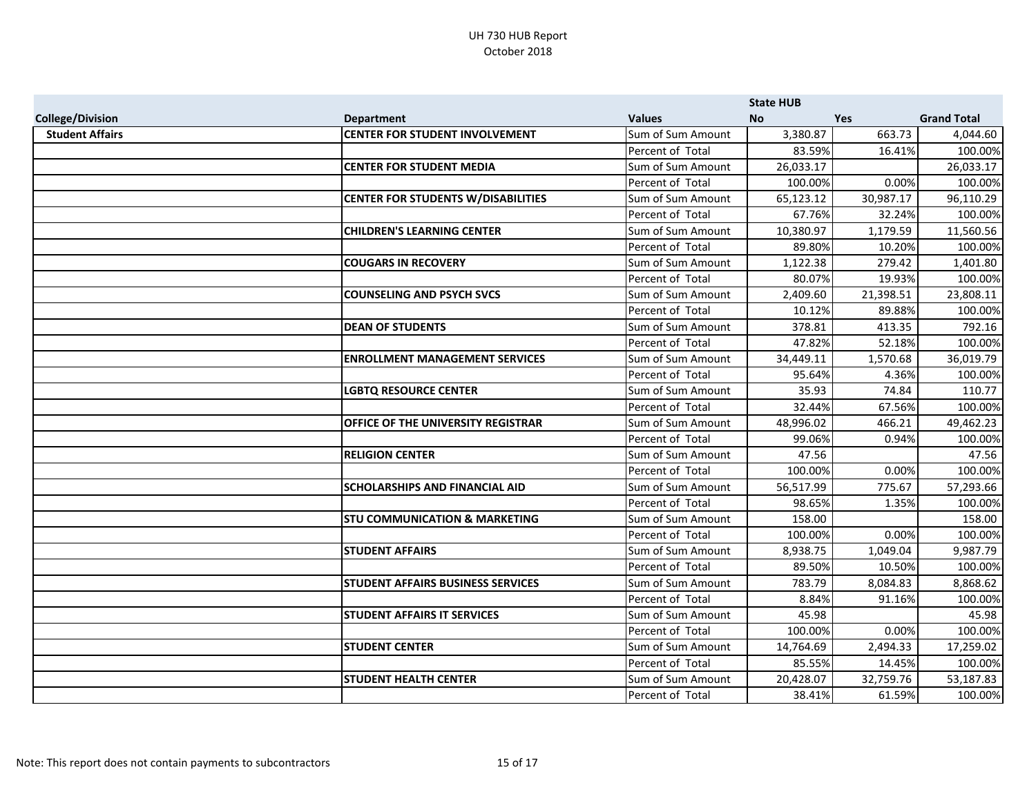|                         |                                           |                   | <b>State HUB</b> |            |                    |
|-------------------------|-------------------------------------------|-------------------|------------------|------------|--------------------|
| <b>College/Division</b> | <b>Department</b>                         | <b>Values</b>     | <b>No</b>        | <b>Yes</b> | <b>Grand Total</b> |
| <b>Student Affairs</b>  | <b>CENTER FOR STUDENT INVOLVEMENT</b>     | Sum of Sum Amount | 3,380.87         | 663.73     | 4,044.60           |
|                         |                                           | Percent of Total  | 83.59%           | 16.41%     | 100.00%            |
|                         | <b>CENTER FOR STUDENT MEDIA</b>           | Sum of Sum Amount | 26,033.17        |            | 26,033.17          |
|                         |                                           | Percent of Total  | 100.00%          | 0.00%      | 100.00%            |
|                         | <b>CENTER FOR STUDENTS W/DISABILITIES</b> | Sum of Sum Amount | 65,123.12        | 30,987.17  | 96,110.29          |
|                         |                                           | Percent of Total  | 67.76%           | 32.24%     | 100.00%            |
|                         | <b>CHILDREN'S LEARNING CENTER</b>         | Sum of Sum Amount | 10,380.97        | 1,179.59   | 11,560.56          |
|                         |                                           | Percent of Total  | 89.80%           | 10.20%     | 100.00%            |
|                         | <b>COUGARS IN RECOVERY</b>                | Sum of Sum Amount | 1,122.38         | 279.42     | 1,401.80           |
|                         |                                           | Percent of Total  | 80.07%           | 19.93%     | 100.00%            |
|                         | <b>COUNSELING AND PSYCH SVCS</b>          | Sum of Sum Amount | 2,409.60         | 21,398.51  | 23,808.11          |
|                         |                                           | Percent of Total  | 10.12%           | 89.88%     | 100.00%            |
|                         | <b>DEAN OF STUDENTS</b>                   | Sum of Sum Amount | 378.81           | 413.35     | 792.16             |
|                         |                                           | Percent of Total  | 47.82%           | 52.18%     | 100.00%            |
|                         | <b>ENROLLMENT MANAGEMENT SERVICES</b>     | Sum of Sum Amount | 34,449.11        | 1,570.68   | 36,019.79          |
|                         |                                           | Percent of Total  | 95.64%           | 4.36%      | 100.00%            |
|                         | <b>LGBTQ RESOURCE CENTER</b>              | Sum of Sum Amount | 35.93            | 74.84      | 110.77             |
|                         |                                           | Percent of Total  | 32.44%           | 67.56%     | 100.00%            |
|                         | OFFICE OF THE UNIVERSITY REGISTRAR        | Sum of Sum Amount | 48,996.02        | 466.21     | 49,462.23          |
|                         |                                           | Percent of Total  | 99.06%           | 0.94%      | 100.00%            |
|                         | <b>RELIGION CENTER</b>                    | Sum of Sum Amount | 47.56            |            | 47.56              |
|                         |                                           | Percent of Total  | 100.00%          | 0.00%      | 100.00%            |
|                         | <b>SCHOLARSHIPS AND FINANCIAL AID</b>     | Sum of Sum Amount | 56,517.99        | 775.67     | 57,293.66          |
|                         |                                           | Percent of Total  | 98.65%           | 1.35%      | 100.00%            |
|                         | <b>STU COMMUNICATION &amp; MARKETING</b>  | Sum of Sum Amount | 158.00           |            | 158.00             |
|                         |                                           | Percent of Total  | 100.00%          | 0.00%      | 100.00%            |
|                         | <b>STUDENT AFFAIRS</b>                    | Sum of Sum Amount | 8,938.75         | 1,049.04   | 9,987.79           |
|                         |                                           | Percent of Total  | 89.50%           | 10.50%     | 100.00%            |
|                         | <b>STUDENT AFFAIRS BUSINESS SERVICES</b>  | Sum of Sum Amount | 783.79           | 8,084.83   | 8,868.62           |
|                         |                                           | Percent of Total  | 8.84%            | 91.16%     | 100.00%            |
|                         | <b>STUDENT AFFAIRS IT SERVICES</b>        | Sum of Sum Amount | 45.98            |            | 45.98              |
|                         |                                           | Percent of Total  | 100.00%          | 0.00%      | 100.00%            |
|                         | <b>STUDENT CENTER</b>                     | Sum of Sum Amount | 14,764.69        | 2,494.33   | 17,259.02          |
|                         |                                           | Percent of Total  | 85.55%           | 14.45%     | 100.00%            |
|                         | <b>STUDENT HEALTH CENTER</b>              | Sum of Sum Amount | 20,428.07        | 32,759.76  | 53,187.83          |
|                         |                                           | Percent of Total  | 38.41%           | 61.59%     | 100.00%            |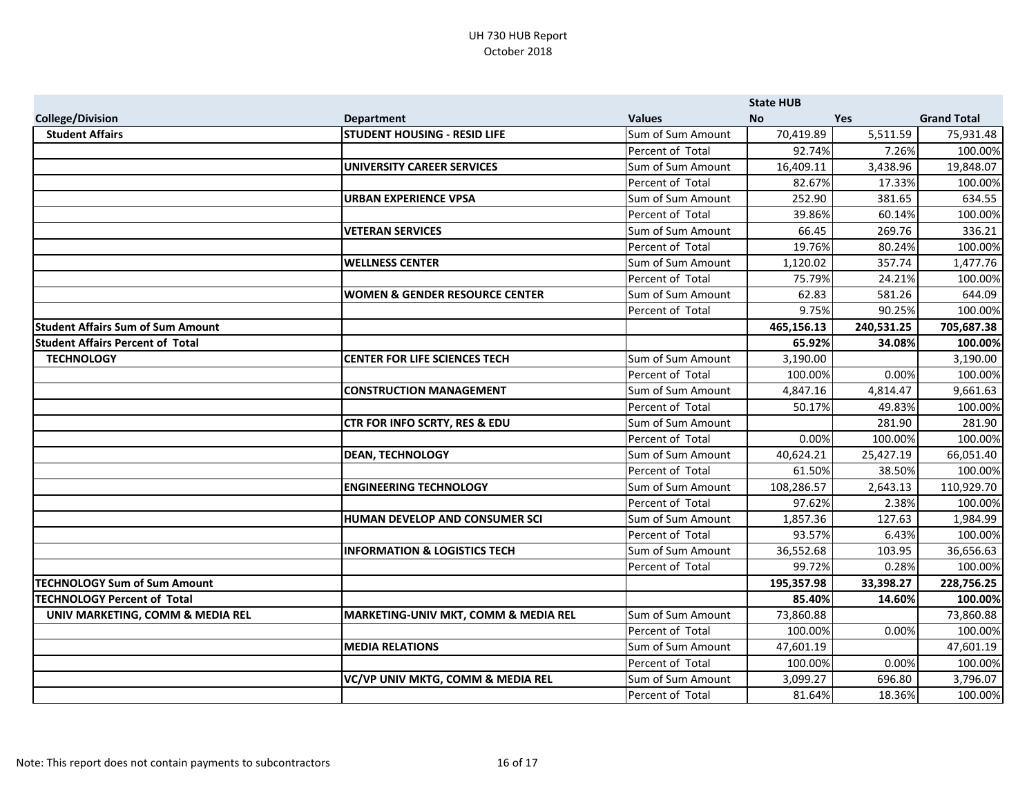|                                          |                                                 |                   | <b>State HUB</b> |            |                    |
|------------------------------------------|-------------------------------------------------|-------------------|------------------|------------|--------------------|
| <b>College/Division</b>                  | <b>Department</b>                               | <b>Values</b>     | <b>No</b>        | <b>Yes</b> | <b>Grand Total</b> |
| <b>Student Affairs</b>                   | <b>STUDENT HOUSING - RESID LIFE</b>             | Sum of Sum Amount | 70,419.89        | 5,511.59   | 75,931.48          |
|                                          |                                                 | Percent of Total  | 92.74%           | 7.26%      | 100.00%            |
|                                          | <b>UNIVERSITY CAREER SERVICES</b>               | Sum of Sum Amount | 16,409.11        | 3,438.96   | 19,848.07          |
|                                          |                                                 | Percent of Total  | 82.67%           | 17.33%     | 100.00%            |
|                                          | URBAN EXPERIENCE VPSA                           | Sum of Sum Amount | 252.90           | 381.65     | 634.55             |
|                                          |                                                 | Percent of Total  | 39.86%           | 60.14%     | 100.00%            |
|                                          | <b>VETERAN SERVICES</b>                         | Sum of Sum Amount | 66.45            | 269.76     | 336.21             |
|                                          |                                                 | Percent of Total  | 19.76%           | 80.24%     | 100.00%            |
|                                          | <b>WELLNESS CENTER</b>                          | Sum of Sum Amount | 1,120.02         | 357.74     | 1,477.76           |
|                                          |                                                 | Percent of Total  | 75.79%           | 24.21%     | 100.00%            |
|                                          | <b>WOMEN &amp; GENDER RESOURCE CENTER</b>       | Sum of Sum Amount | 62.83            | 581.26     | 644.09             |
|                                          |                                                 | Percent of Total  | 9.75%            | 90.25%     | 100.00%            |
| <b>Student Affairs Sum of Sum Amount</b> |                                                 |                   | 465,156.13       | 240,531.25 | 705,687.38         |
| <b>Student Affairs Percent of Total</b>  |                                                 |                   | 65.92%           | 34.08%     | 100.00%            |
| <b>TECHNOLOGY</b>                        | <b>CENTER FOR LIFE SCIENCES TECH</b>            | Sum of Sum Amount | 3,190.00         |            | 3,190.00           |
|                                          |                                                 | Percent of Total  | 100.00%          | 0.00%      | 100.00%            |
|                                          | <b>CONSTRUCTION MANAGEMENT</b>                  | Sum of Sum Amount | 4,847.16         | 4,814.47   | 9,661.63           |
|                                          |                                                 | Percent of Total  | 50.17%           | 49.83%     | 100.00%            |
|                                          | CTR FOR INFO SCRTY, RES & EDU                   | Sum of Sum Amount |                  | 281.90     | 281.90             |
|                                          |                                                 | Percent of Total  | 0.00%            | 100.00%    | 100.00%            |
|                                          | <b>DEAN, TECHNOLOGY</b>                         | Sum of Sum Amount | 40,624.21        | 25,427.19  | 66,051.40          |
|                                          |                                                 | Percent of Total  | 61.50%           | 38.50%     | 100.00%            |
|                                          | <b>ENGINEERING TECHNOLOGY</b>                   | Sum of Sum Amount | 108,286.57       | 2,643.13   | 110,929.70         |
|                                          |                                                 | Percent of Total  | 97.62%           | 2.38%      | 100.00%            |
|                                          | HUMAN DEVELOP AND CONSUMER SCI                  | Sum of Sum Amount | 1,857.36         | 127.63     | 1,984.99           |
|                                          |                                                 | Percent of Total  | 93.57%           | 6.43%      | 100.00%            |
|                                          | <b>INFORMATION &amp; LOGISTICS TECH</b>         | Sum of Sum Amount | 36,552.68        | 103.95     | 36,656.63          |
|                                          |                                                 | Percent of Total  | 99.72%           | 0.28%      | 100.00%            |
| <b>TECHNOLOGY Sum of Sum Amount</b>      |                                                 |                   | 195,357.98       | 33,398.27  | 228,756.25         |
| <b>TECHNOLOGY Percent of Total</b>       |                                                 |                   | 85.40%           | 14.60%     | 100.00%            |
| UNIV MARKETING, COMM & MEDIA REL         | <b>MARKETING-UNIV MKT, COMM &amp; MEDIA REL</b> | Sum of Sum Amount | 73,860.88        |            | 73,860.88          |
|                                          |                                                 | Percent of Total  | 100.00%          | 0.00%      | 100.00%            |
|                                          | <b>MEDIA RELATIONS</b>                          | Sum of Sum Amount | 47,601.19        |            | 47,601.19          |
|                                          |                                                 | Percent of Total  | 100.00%          | 0.00%      | 100.00%            |
|                                          | VC/VP UNIV MKTG, COMM & MEDIA REL               | Sum of Sum Amount | 3,099.27         | 696.80     | 3,796.07           |
|                                          |                                                 | Percent of Total  | 81.64%           | 18.36%     | 100.00%            |